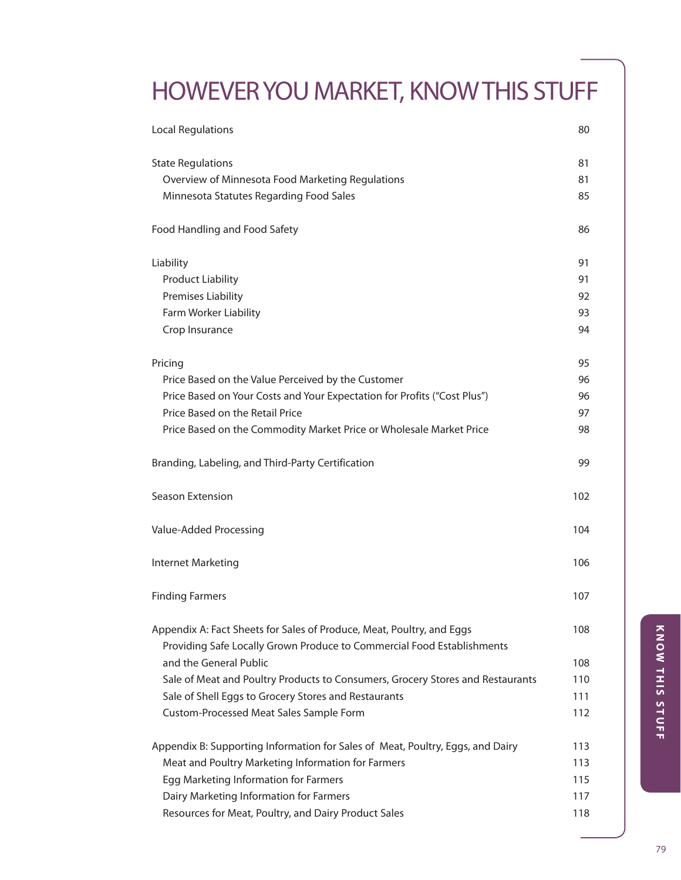# HOWEVERYOU MARKET, KNOWTHIS STUFF

| <b>Local Regulations</b>                                                                                                                        | 80  |
|-------------------------------------------------------------------------------------------------------------------------------------------------|-----|
| <b>State Regulations</b>                                                                                                                        | 81  |
| Overview of Minnesota Food Marketing Regulations                                                                                                | 81  |
| Minnesota Statutes Regarding Food Sales                                                                                                         | 85  |
| Food Handling and Food Safety                                                                                                                   | 86  |
| Liability                                                                                                                                       | 91  |
| <b>Product Liability</b>                                                                                                                        | 91  |
| Premises Liability                                                                                                                              | 92  |
| Farm Worker Liability                                                                                                                           | 93  |
| Crop Insurance                                                                                                                                  | 94  |
| Pricing                                                                                                                                         | 95  |
| Price Based on the Value Perceived by the Customer                                                                                              | 96  |
| Price Based on Your Costs and Your Expectation for Profits ("Cost Plus")                                                                        | 96  |
| Price Based on the Retail Price                                                                                                                 | 97  |
| Price Based on the Commodity Market Price or Wholesale Market Price                                                                             | 98  |
| Branding, Labeling, and Third-Party Certification                                                                                               | 99  |
| Season Extension                                                                                                                                | 102 |
| Value-Added Processing                                                                                                                          | 104 |
| Internet Marketing                                                                                                                              | 106 |
| <b>Finding Farmers</b>                                                                                                                          | 107 |
| Appendix A: Fact Sheets for Sales of Produce, Meat, Poultry, and Eggs<br>Providing Safe Locally Grown Produce to Commercial Food Establishments | 108 |
| and the General Public                                                                                                                          | 108 |
| Sale of Meat and Poultry Products to Consumers, Grocery Stores and Restaurants                                                                  | 110 |
| Sale of Shell Eggs to Grocery Stores and Restaurants                                                                                            | 111 |
| Custom-Processed Meat Sales Sample Form                                                                                                         | 112 |
| Appendix B: Supporting Information for Sales of Meat, Poultry, Eggs, and Dairy                                                                  | 113 |
| Meat and Poultry Marketing Information for Farmers                                                                                              | 113 |
| Egg Marketing Information for Farmers                                                                                                           | 115 |
| Dairy Marketing Information for Farmers                                                                                                         | 117 |
| Resources for Meat, Poultry, and Dairy Product Sales                                                                                            | 118 |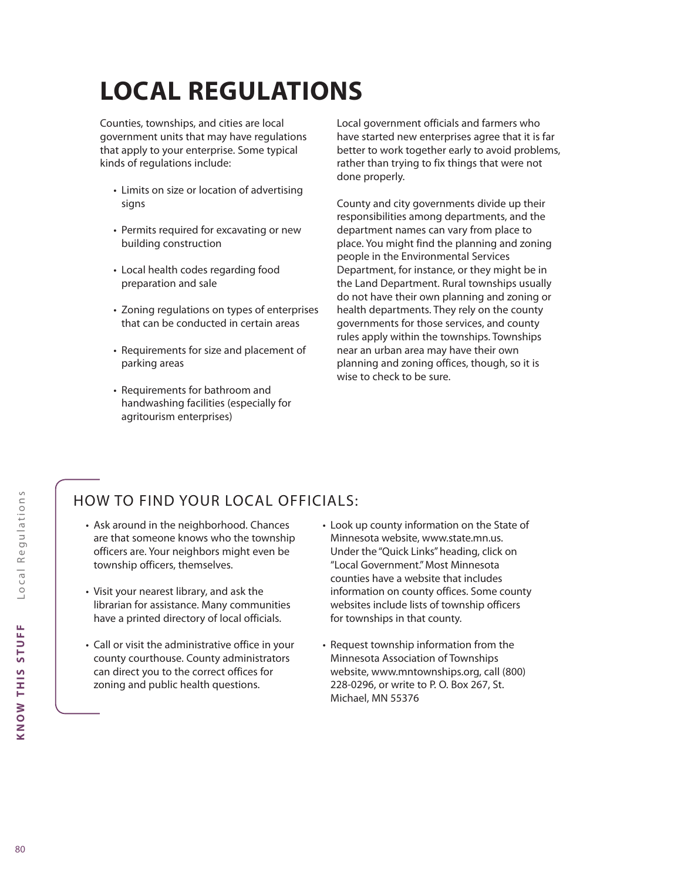# **LOCAL REGULATIONS**

Counties, townships, and cities are local government units that may have regulations that apply to your enterprise. Some typical kinds of regulations include:

- Limits on size or location of advertising signs
- Permits required for excavating or new building construction
- Local health codes regarding food preparation and sale
- Zoning regulations on types of enterprises that can be conducted in certain areas
- Requirements for size and placement of parking areas
- Requirements for bathroom and handwashing facilities (especially for agritourism enterprises)

Local government officials and farmers who have started new enterprises agree that it is far better to work together early to avoid problems, rather than trying to fix things that were not done properly.

County and city governments divide up their responsibilities among departments, and the department names can vary from place to place. You might find the planning and zoning people in the Environmental Services Department, for instance, or they might be in the Land Department. Rural townships usually do not have their own planning and zoning or health departments. They rely on the county governments for those services, and county rules apply within the townships. Townships near an urban area may have their own planning and zoning offices, though, so it is wise to check to be sure.

# HOW TO FIND YOUR LOCAL OFFICIALS:

- Ask around in the neighborhood. Chances are that someone knows who the township officers are. Your neighbors might even be township officers, themselves.
- Visit your nearest library, and ask the librarian for assistance. Many communities have a printed directory of local officials.
- Call or visit the administrative office in your county courthouse. County administrators can direct you to the correct offices for zoning and public health questions.
- Look up county information on the State of Minnesota website, www.state.mn.us. Under the "Quick Links" heading, click on "Local Government." Most Minnesota counties have a website that includes information on county offices. Some county websites include lists of township officers for townships in that county.
- Request township information from the Minnesota Association of Townships website, www.mntownships.org, call (800) 228-0296, or write to P. O. Box 267, St. Michael, MN 55376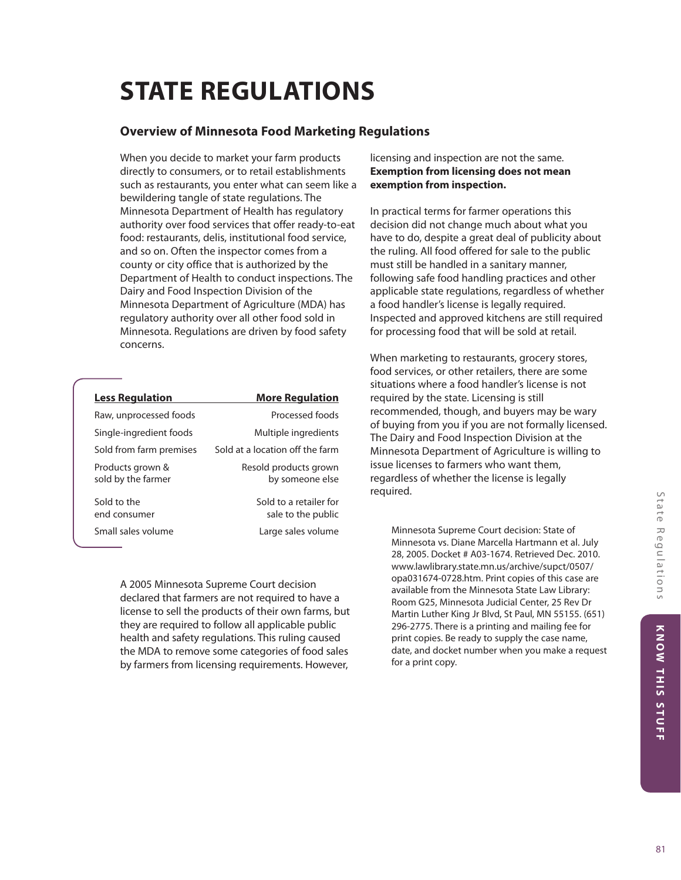# **STATE REGULATIONS**

# **Overview of Minnesota Food Marketing Regulations**

When you decide to market your farm products directly to consumers, or to retail establishments such as restaurants, you enter what can seem like a bewildering tangle of state regulations. The Minnesota Department of Health has regulatory authority over food services that offer ready-to-eat food: restaurants, delis, institutional food service, and so on. Often the inspector comes from a county or city office that is authorized by the Department of Health to conduct inspections. The Dairy and Food Inspection Division of the Minnesota Department of Agriculture (MDA) has regulatory authority over all other food sold in Minnesota. Regulations are driven by food safety concerns.

| <b>Less Regulation</b>                 | <u>More Regulation</u>                       |
|----------------------------------------|----------------------------------------------|
| Raw, unprocessed foods                 | Processed foods                              |
| Single-ingredient foods                | Multiple ingredients                         |
| Sold from farm premises                | Sold at a location off the farm              |
| Products grown &<br>sold by the farmer | Resold products grown<br>by someone else     |
| Sold to the<br>end consumer            | Sold to a retailer for<br>sale to the public |
| Small sales volume                     | Large sales volume                           |

A 2005 Minnesota Supreme Court decision declared that farmers are not required to have a license to sell the products of their own farms, but they are required to follow all applicable public health and safety regulations. This ruling caused the MDA to remove some categories of food sales by farmers from licensing requirements. However,

licensing and inspection are not the same. **Exemption from licensing does not mean exemption from inspection.**

In practical terms for farmer operations this decision did not change much about what you have to do, despite a great deal of publicity about the ruling. All food offered for sale to the public must still be handled in a sanitary manner, following safe food handling practices and other applicable state regulations, regardless of whether a food handler's license is legally required. Inspected and approved kitchens are still required for processing food that will be sold at retail.

When marketing to restaurants, grocery stores, food services, or other retailers, there are some situations where a food handler's license is not required by the state. Licensing is still recommended, though, and buyers may be wary of buying from you if you are not formally licensed. The Dairy and Food Inspection Division at the Minnesota Department of Agriculture is willing to issue licenses to farmers who want them, regardless of whether the license is legally required.

Minnesota Supreme Court decision: State of Minnesota vs. Diane Marcella Hartmann et al. July 28, 2005. Docket # A03-1674. Retrieved Dec. 2010. www.lawlibrary.state.mn.us/archive/supct/0507/ opa031674-0728.htm. Print copies of this case are available from the Minnesota State Law Library: Room G25, Minnesota Judicial Center, 25 Rev Dr Martin Luther King Jr Blvd, St Paul, MN 55155. (651) 296-2775. There is a printing and mailing fee for print copies. Be ready to supply the case name, date, and docket number when you make a request for a print copy.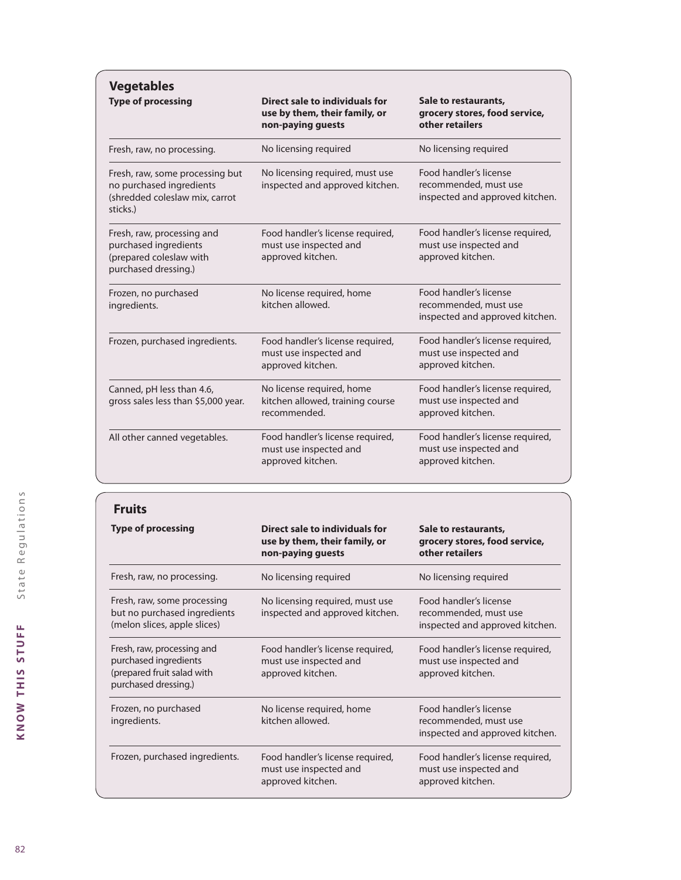| <b>Vegetables</b>                                                                                         |                                                                                      |                                                                                    |
|-----------------------------------------------------------------------------------------------------------|--------------------------------------------------------------------------------------|------------------------------------------------------------------------------------|
| <b>Type of processing</b>                                                                                 | Direct sale to individuals for<br>use by them, their family, or<br>non-paying guests | Sale to restaurants,<br>grocery stores, food service,<br>other retailers           |
| Fresh, raw, no processing.                                                                                | No licensing required                                                                | No licensing required                                                              |
| Fresh, raw, some processing but<br>no purchased ingredients<br>(shredded coleslaw mix, carrot<br>sticks.) | No licensing required, must use<br>inspected and approved kitchen.                   | Food handler's license<br>recommended, must use<br>inspected and approved kitchen. |
| Fresh, raw, processing and<br>purchased ingredients<br>(prepared coleslaw with<br>purchased dressing.)    | Food handler's license required,<br>must use inspected and<br>approved kitchen.      | Food handler's license required,<br>must use inspected and<br>approved kitchen.    |
| Frozen, no purchased<br>ingredients.                                                                      | No license required, home<br>kitchen allowed.                                        | Food handler's license<br>recommended, must use<br>inspected and approved kitchen. |
| Frozen, purchased ingredients.                                                                            | Food handler's license required,<br>must use inspected and<br>approved kitchen.      | Food handler's license required,<br>must use inspected and<br>approved kitchen.    |
| Canned, pH less than 4.6,<br>gross sales less than \$5,000 year.                                          | No license required, home<br>kitchen allowed, training course<br>recommended.        | Food handler's license required,<br>must use inspected and<br>approved kitchen.    |
| All other canned vegetables.                                                                              | Food handler's license required,<br>must use inspected and<br>approved kitchen.      | Food handler's license required,<br>must use inspected and<br>approved kitchen.    |

| <b>Fruits</b>                                                                                             |                                                                                      |                                                                                    |
|-----------------------------------------------------------------------------------------------------------|--------------------------------------------------------------------------------------|------------------------------------------------------------------------------------|
| <b>Type of processing</b>                                                                                 | Direct sale to individuals for<br>use by them, their family, or<br>non-paying guests | Sale to restaurants,<br>grocery stores, food service,<br>other retailers           |
| Fresh, raw, no processing.                                                                                | No licensing required                                                                | No licensing required                                                              |
| Fresh, raw, some processing<br>but no purchased ingredients<br>(melon slices, apple slices)               | No licensing required, must use<br>inspected and approved kitchen.                   | Food handler's license<br>recommended, must use<br>inspected and approved kitchen. |
| Fresh, raw, processing and<br>purchased ingredients<br>(prepared fruit salad with<br>purchased dressing.) | Food handler's license required,<br>must use inspected and<br>approved kitchen.      | Food handler's license required,<br>must use inspected and<br>approved kitchen.    |
| Frozen, no purchased<br>ingredients.                                                                      | No license required, home<br>kitchen allowed.                                        | Food handler's license<br>recommended, must use<br>inspected and approved kitchen. |
| Frozen, purchased ingredients.                                                                            | Food handler's license required,<br>must use inspected and<br>approved kitchen.      | Food handler's license required,<br>must use inspected and<br>approved kitchen.    |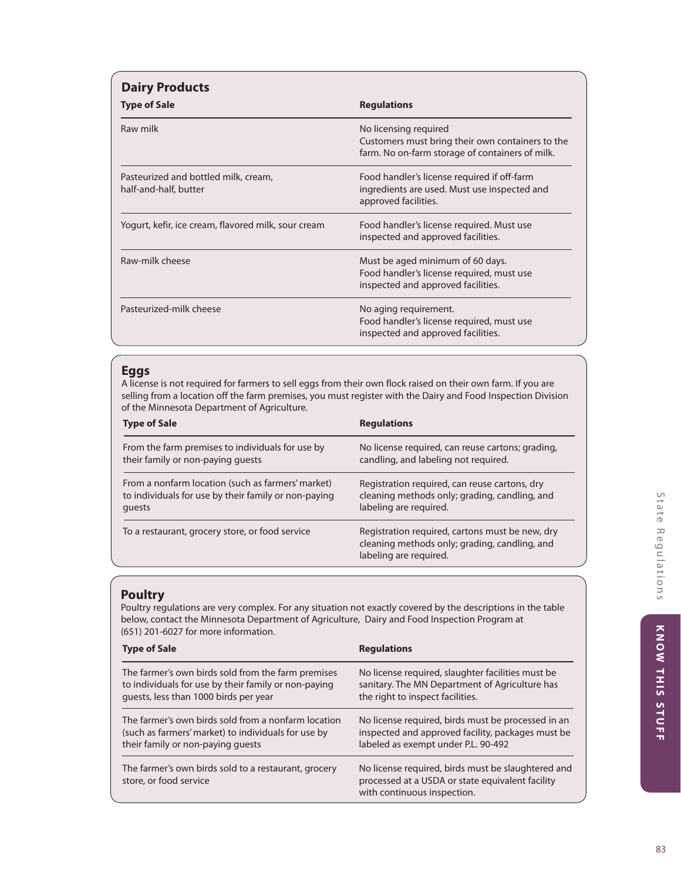| <b>Dairy Products</b><br><b>Type of Sale</b>                  | <b>Regulations</b>                                                                                                           |
|---------------------------------------------------------------|------------------------------------------------------------------------------------------------------------------------------|
| Raw milk                                                      | No licensing required<br>Customers must bring their own containers to the<br>farm. No on-farm storage of containers of milk. |
| Pasteurized and bottled milk, cream,<br>half-and-half, butter | Food handler's license required if off-farm<br>ingredients are used. Must use inspected and<br>approved facilities.          |
| Yogurt, kefir, ice cream, flavored milk, sour cream           | Food handler's license required. Must use<br>inspected and approved facilities.                                              |
| Raw-milk cheese                                               | Must be aged minimum of 60 days.<br>Food handler's license required, must use<br>inspected and approved facilities.          |
| Pasteurized-milk cheese                                       | No aging requirement.<br>Food handler's license required, must use<br>inspected and approved facilities.                     |

# **Eggs**

A license is not required for farmers to sell eggs from their own flock raised on their own farm. If you are selling from a location off the farm premises, you must register with the Dairy and Food Inspection Division of the Minnesota Department of Agriculture.

| <b>Type of Sale</b>                                  | <b>Regulations</b>                                                                                                         |
|------------------------------------------------------|----------------------------------------------------------------------------------------------------------------------------|
| From the farm premises to individuals for use by     | No license required, can reuse cartons; grading,                                                                           |
| their family or non-paying guests                    | candling, and labeling not required.                                                                                       |
| From a nonfarm location (such as farmers' market)    | Registration required, can reuse cartons, dry                                                                              |
| to individuals for use by their family or non-paying | cleaning methods only; grading, candling, and                                                                              |
| quests                                               | labeling are required.                                                                                                     |
| To a restaurant, grocery store, or food service      | Registration required, cartons must be new, dry<br>cleaning methods only; grading, candling, and<br>labeling are required. |

# **Poultry**

Poultry regulations are very complex. For any situation not exactly covered by the descriptions in the table below, contact the Minnesota Department of Agriculture, Dairy and Food Inspection Program at (651) 201-6027 for more information.

| <b>Type of Sale</b>                                                            | <b>Regulations</b>                                                                                                                    |
|--------------------------------------------------------------------------------|---------------------------------------------------------------------------------------------------------------------------------------|
| The farmer's own birds sold from the farm premises                             | No license required, slaughter facilities must be                                                                                     |
| to individuals for use by their family or non-paying                           | sanitary. The MN Department of Agriculture has                                                                                        |
| guests, less than 1000 birds per year                                          | the right to inspect facilities.                                                                                                      |
| The farmer's own birds sold from a nonfarm location                            | No license required, birds must be processed in an                                                                                    |
| (such as farmers' market) to individuals for use by                            | inspected and approved facility, packages must be                                                                                     |
| their family or non-paying guests                                              | labeled as exempt under P.L. 90-492                                                                                                   |
| The farmer's own birds sold to a restaurant, grocery<br>store, or food service | No license required, birds must be slaughtered and<br>processed at a USDA or state equivalent facility<br>with continuous inspection. |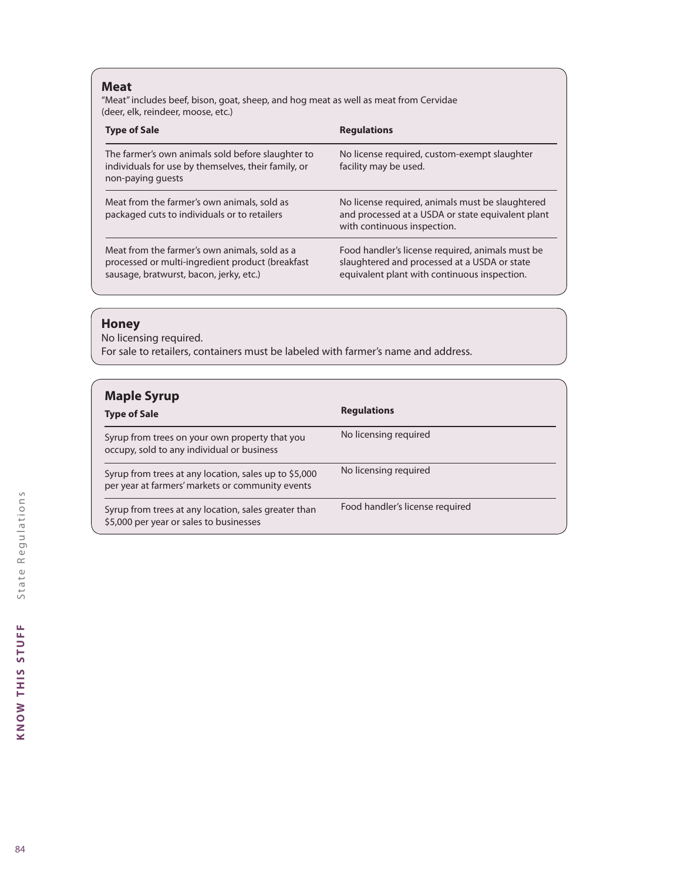## **Meat**

"Meat" includes beef, bison, goat, sheep, and hog meat as well as meat from Cervidae (deer, elk, reindeer, moose, etc.)

| <b>Type of Sale</b>                                                                                                                          | <b>Regulations</b>                                                                                                                               |
|----------------------------------------------------------------------------------------------------------------------------------------------|--------------------------------------------------------------------------------------------------------------------------------------------------|
| The farmer's own animals sold before slaughter to<br>individuals for use by themselves, their family, or<br>non-paying guests                | No license required, custom-exempt slaughter<br>facility may be used.                                                                            |
| Meat from the farmer's own animals, sold as<br>packaged cuts to individuals or to retailers                                                  | No license required, animals must be slaughtered<br>and processed at a USDA or state equivalent plant<br>with continuous inspection.             |
| Meat from the farmer's own animals, sold as a<br>processed or multi-ingredient product (breakfast<br>sausage, bratwurst, bacon, jerky, etc.) | Food handler's license required, animals must be<br>slaughtered and processed at a USDA or state<br>equivalent plant with continuous inspection. |

# **Honey**

No licensing required.

For sale to retailers, containers must be labeled with farmer's name and address.

| <b>Maple Syrup</b><br><b>Type of Sale</b>                                                                 | <b>Regulations</b>              |
|-----------------------------------------------------------------------------------------------------------|---------------------------------|
| Syrup from trees on your own property that you<br>occupy, sold to any individual or business              | No licensing required           |
| Syrup from trees at any location, sales up to \$5,000<br>per year at farmers' markets or community events | No licensing required           |
| Syrup from trees at any location, sales greater than<br>\$5,000 per year or sales to businesses           | Food handler's license required |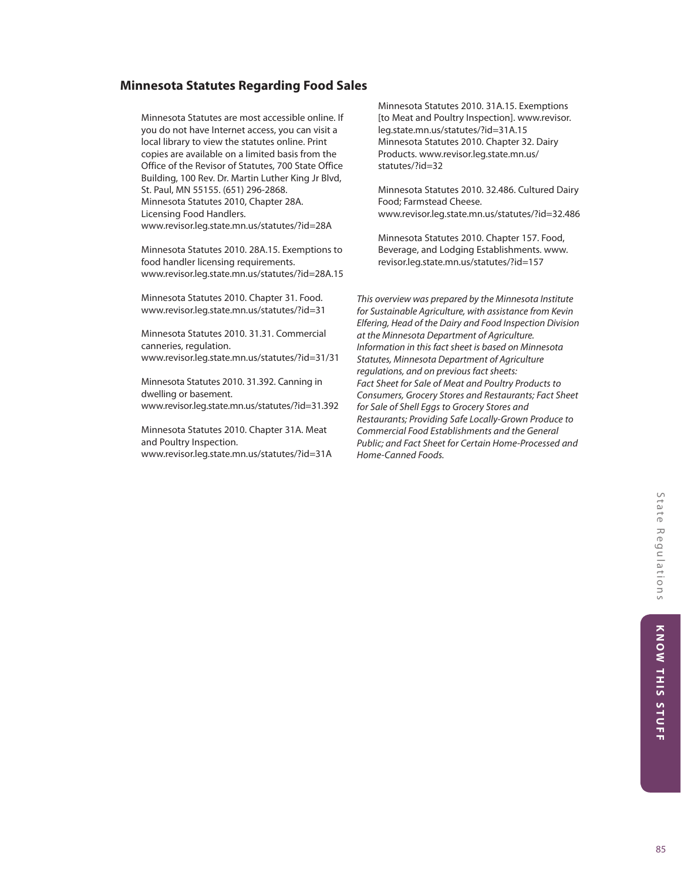## **Minnesota Statutes Regarding Food Sales**

Minnesota Statutes are most accessible online. If you do not have Internet access, you can visit a local library to view the statutes online. Print copies are available on a limited basis from the Office of the Revisor of Statutes, 700 State Office Building, 100 Rev. Dr. Martin Luther King Jr Blvd, St. Paul, MN 55155. (651) 296-2868. Minnesota Statutes 2010, Chapter 28A. Licensing Food Handlers. www.revisor.leg.state.mn.us/statutes/?id=28A

Minnesota Statutes 2010. 28A.15. Exemptions to food handler licensing requirements. www.revisor.leg.state.mn.us/statutes/?id=28A.15

Minnesota Statutes 2010. Chapter 31. Food. www.revisor.leg.state.mn.us/statutes/?id=31

Minnesota Statutes 2010. 31.31. Commercial canneries, regulation. www.revisor.leg.state.mn.us/statutes/?id=31/31

Minnesota Statutes 2010. 31.392. Canning in dwelling or basement. www.revisor.leg.state.mn.us/statutes/?id=31.392

Minnesota Statutes 2010. Chapter 31A. Meat and Poultry Inspection. www.revisor.leg.state.mn.us/statutes/?id=31A Minnesota Statutes 2010. 31A.15. Exemptions [to Meat and Poultry Inspection]. www.revisor. leg.state.mn.us/statutes/?id=31A.15 Minnesota Statutes 2010. Chapter 32. Dairy Products. www.revisor.leg.state.mn.us/ statutes/?id=32

Minnesota Statutes 2010. 32.486. Cultured Dairy Food; Farmstead Cheese. www.revisor.leg.state.mn.us/statutes/?id=32.486

Minnesota Statutes 2010. Chapter 157. Food, Beverage, and Lodging Establishments. www. revisor.leg.state.mn.us/statutes/?id=157

*This overview was prepared by the Minnesota Institute for Sustainable Agriculture, with assistance from Kevin Elfering, Head of the Dairy and Food Inspection Division at the Minnesota Department of Agriculture. Information in this fact sheet is based on Minnesota Statutes, Minnesota Department of Agriculture regulations, and on previous fact sheets: Fact Sheet for Sale of Meat and Poultry Products to Consumers, Grocery Stores and Restaurants; Fact Sheet for Sale of Shell Eggs to Grocery Stores and Restaurants; Providing Safe Locally-Grown Produce to Commercial Food Establishments and the General Public; and Fact Sheet for Certain Home-Processed and Home-Canned Foods.*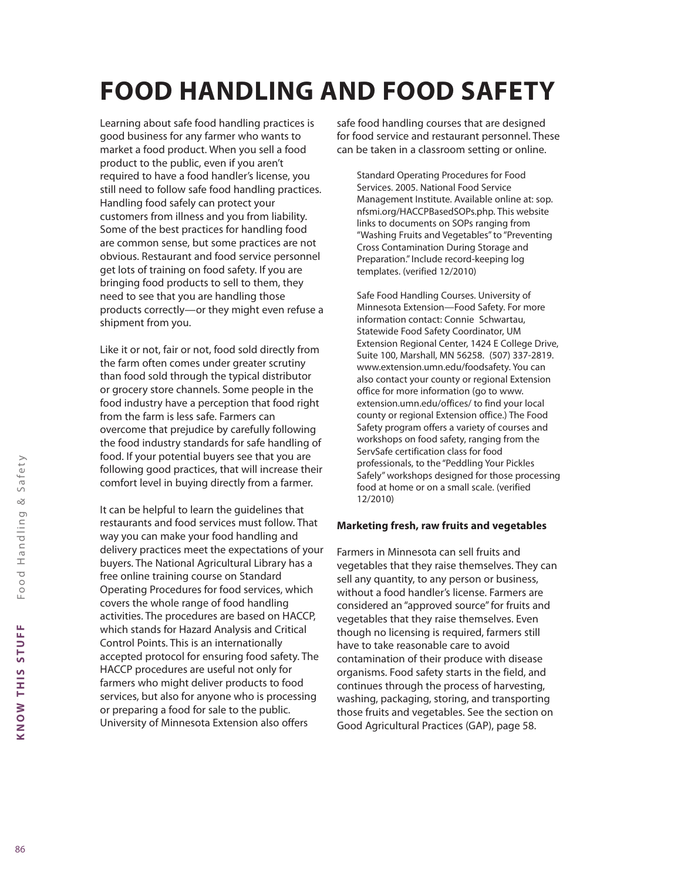# **FOOD HANDLING AND FOOD SAFETY**

Learning about safe food handling practices is good business for any farmer who wants to market a food product. When you sell a food product to the public, even if you aren't required to have a food handler's license, you still need to follow safe food handling practices. Handling food safely can protect your customers from illness and you from liability. Some of the best practices for handling food are common sense, but some practices are not obvious. Restaurant and food service personnel get lots of training on food safety. If you are bringing food products to sell to them, they need to see that you are handling those products correctly—or they might even refuse a shipment from you.

Like it or not, fair or not, food sold directly from the farm often comes under greater scrutiny than food sold through the typical distributor or grocery store channels. Some people in the food industry have a perception that food right from the farm is less safe. Farmers can overcome that prejudice by carefully following the food industry standards for safe handling of food. If your potential buyers see that you are following good practices, that will increase their comfort level in buying directly from a farmer.

It can be helpful to learn the guidelines that restaurants and food services must follow. That way you can make your food handling and delivery practices meet the expectations of your buyers. The National Agricultural Library has a free online training course on Standard Operating Procedures for food services, which covers the whole range of food handling activities. The procedures are based on HACCP, which stands for Hazard Analysis and Critical Control Points. This is an internationally accepted protocol for ensuring food safety. The HACCP procedures are useful not only for farmers who might deliver products to food services, but also for anyone who is processing or preparing a food for sale to the public. University of Minnesota Extension also offers

safe food handling courses that are designed for food service and restaurant personnel. These can be taken in a classroom setting or online.

Standard Operating Procedures for Food Services. 2005. National Food Service Management Institute. Available online at: sop. nfsmi.org/HACCPBasedSOPs.php. This website links to documents on SOPs ranging from "Washing Fruits and Vegetables" to "Preventing Cross Contamination During Storage and Preparation." Include record-keeping log templates. (verified 12/2010)

Safe Food Handling Courses. University of Minnesota Extension—Food Safety. For more information contact: Connie Schwartau, Statewide Food Safety Coordinator, UM Extension Regional Center, 1424 E College Drive, Suite 100, Marshall, MN 56258. (507) 337-2819. www.extension.umn.edu/foodsafety. You can also contact your county or regional Extension office for more information (go to www. extension.umn.edu/offices/ to find your local county or regional Extension office.) The Food Safety program offers a variety of courses and workshops on food safety, ranging from the ServSafe certification class for food professionals, to the "Peddling Your Pickles Safely" workshops designed for those processing food at home or on a small scale. (verified 12/2010)

#### **Marketing fresh, raw fruits and vegetables**

Farmers in Minnesota can sell fruits and vegetables that they raise themselves. They can sell any quantity, to any person or business, without a food handler's license. Farmers are considered an "approved source" for fruits and vegetables that they raise themselves. Even though no licensing is required, farmers still have to take reasonable care to avoid contamination of their produce with disease organisms. Food safety starts in the field, and continues through the process of harvesting, washing, packaging, storing, and transporting those fruits and vegetables. See the section on Good Agricultural Practices (GAP), page 58.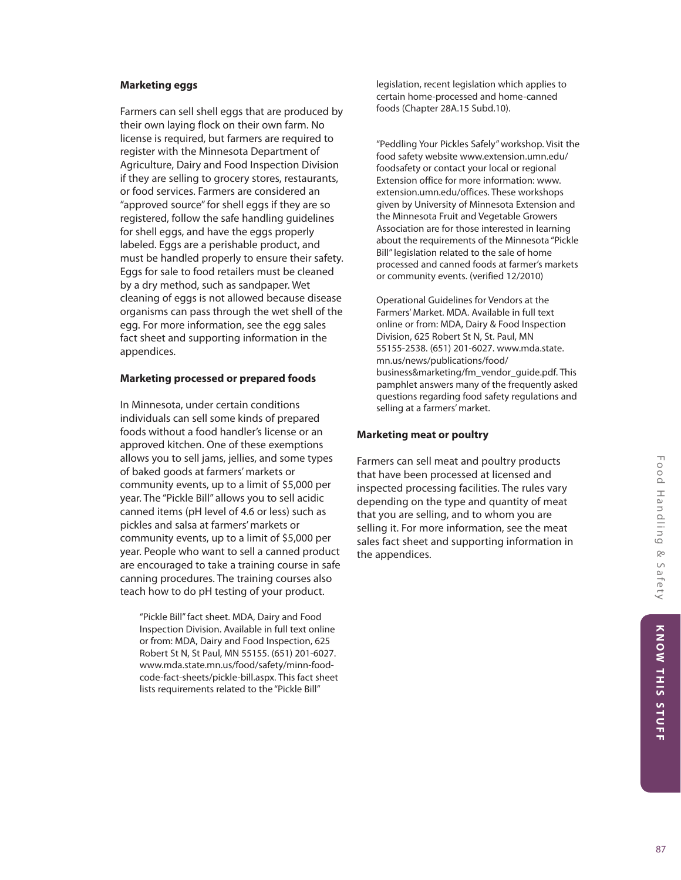#### **Marketing eggs**

Farmers can sell shell eggs that are produced by their own laying flock on their own farm. No license is required, but farmers are required to register with the Minnesota Department of Agriculture, Dairy and Food Inspection Division if they are selling to grocery stores, restaurants, or food services. Farmers are considered an "approved source" for shell eggs if they are so registered, follow the safe handling guidelines for shell eggs, and have the eggs properly labeled. Eggs are a perishable product, and must be handled properly to ensure their safety. Eggs for sale to food retailers must be cleaned by a dry method, such as sandpaper. Wet cleaning of eggs is not allowed because disease organisms can pass through the wet shell of the egg. For more information, see the egg sales fact sheet and supporting information in the appendices.

#### **Marketing processed or prepared foods**

In Minnesota, under certain conditions individuals can sell some kinds of prepared foods without a food handler's license or an approved kitchen. One of these exemptions allows you to sell jams, jellies, and some types of baked goods at farmers' markets or community events, up to a limit of \$5,000 per year. The "Pickle Bill" allows you to sell acidic canned items (pH level of 4.6 or less) such as pickles and salsa at farmers' markets or community events, up to a limit of \$5,000 per year. People who want to sell a canned product are encouraged to take a training course in safe canning procedures. The training courses also teach how to do pH testing of your product.

"Pickle Bill" fact sheet. MDA, Dairy and Food Inspection Division. Available in full text online or from: MDA, Dairy and Food Inspection, 625 Robert St N, St Paul, MN 55155. (651) 201-6027. www.mda.state.mn.us/food/safety/minn-foodcode-fact-sheets/pickle-bill.aspx. This fact sheet lists requirements related to the "Pickle Bill"

legislation, recent legislation which applies to certain home-processed and home-canned foods (Chapter 28A.15 Subd.10).

"Peddling Your Pickles Safely" workshop. Visit the food safety website www.extension.umn.edu/ foodsafety or contact your local or regional Extension office for more information: www. extension.umn.edu/offices. These workshops given by University of Minnesota Extension and the Minnesota Fruit and Vegetable Growers Association are for those interested in learning about the requirements of the Minnesota "Pickle Bill" legislation related to the sale of home processed and canned foods at farmer's markets or community events. (verified 12/2010)

Operational Guidelines for Vendors at the Farmers' Market. MDA. Available in full text online or from: MDA, Dairy & Food Inspection Division, 625 Robert St N, St. Paul, MN 55155-2538. (651) 201-6027. www.mda.state. mn.us/news/publications/food/ business&marketing/fm\_vendor\_guide.pdf. This pamphlet answers many of the frequently asked questions regarding food safety regulations and selling at a farmers' market.

#### **Marketing meat or poultry**

Farmers can sell meat and poultry products that have been processed at licensed and inspected processing facilities. The rules vary depending on the type and quantity of meat that you are selling, and to whom you are selling it. For more information, see the meat sales fact sheet and supporting information in the appendices.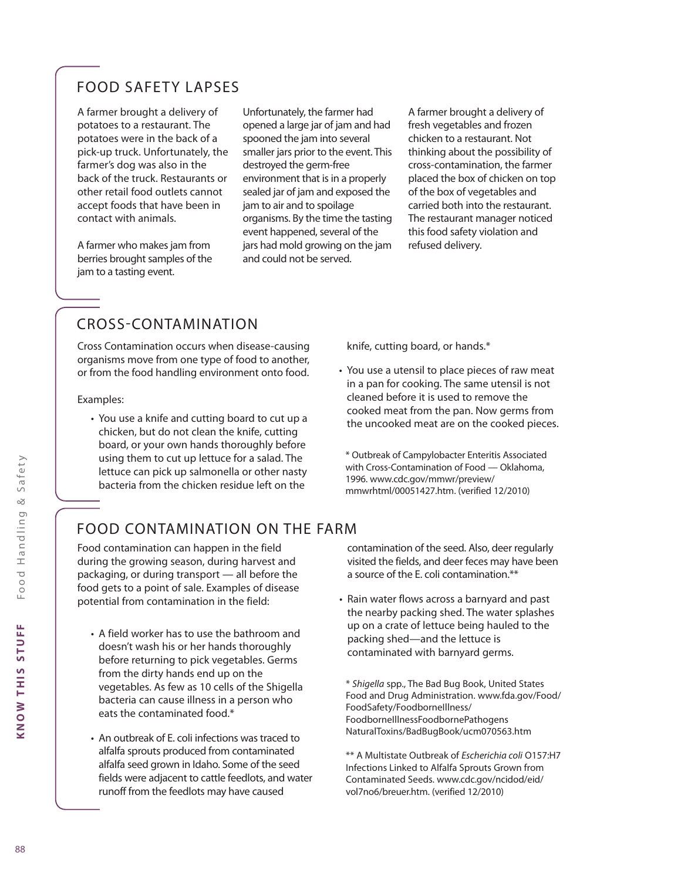# FOOD SAFETY LAPSES

A farmer brought a delivery of potatoes to a restaurant. The potatoes were in the back of a pick-up truck. Unfortunately, the farmer's dog was also in the back of the truck. Restaurants or other retail food outlets cannot accept foods that have been in contact with animals.

A farmer who makes jam from berries brought samples of the jam to a tasting event.

Unfortunately, the farmer had opened a large jar of jam and had spooned the jam into several smaller jars prior to the event. This destroyed the germ-free environment that is in a properly sealed jar of jam and exposed the jam to air and to spoilage organisms. By the time the tasting event happened, several of the jars had mold growing on the jam and could not be served.

A farmer brought a delivery of fresh vegetables and frozen chicken to a restaurant. Not thinking about the possibility of cross-contamination, the farmer placed the box of chicken on top of the box of vegetables and carried both into the restaurant. The restaurant manager noticed this food safety violation and refused delivery.

# CROSS-CONTAMINATION

Cross Contamination occurs when disease-causing organisms move from one type of food to another, or from the food handling environment onto food.

#### Examples:

• You use a knife and cutting board to cut up a chicken, but do not clean the knife, cutting board, or your own hands thoroughly before using them to cut up lettuce for a salad. The lettuce can pick up salmonella or other nasty bacteria from the chicken residue left on the

knife, cutting board, or hands.\*

• You use a utensil to place pieces of raw meat in a pan for cooking. The same utensil is not cleaned before it is used to remove the cooked meat from the pan. Now germs from the uncooked meat are on the cooked pieces.

\* Outbreak of Campylobacter Enteritis Associated with Cross-Contamination of Food — Oklahoma, 1996. www.cdc.gov/mmwr/preview/ mmwrhtml/00051427.htm. (verified 12/2010)

# FOOD CONTAMINATION ON THE FARM

Food contamination can happen in the field during the growing season, during harvest and packaging, or during transport — all before the food gets to a point of sale. Examples of disease potential from contamination in the field:

- A field worker has to use the bathroom and doesn't wash his or her hands thoroughly before returning to pick vegetables. Germs from the dirty hands end up on the vegetables. As few as 10 cells of the Shigella bacteria can cause illness in a person who eats the contaminated food.\*
- An outbreak of E. coli infections was traced to alfalfa sprouts produced from contaminated alfalfa seed grown in Idaho. Some of the seed fields were adjacent to cattle feedlots, and water runoff from the feedlots may have caused

contamination of the seed. Also, deer regularly visited the fields, and deer feces may have been a source of the E. coli contamination.\*\*

• Rain water flows across a barnyard and past the nearby packing shed. The water splashes up on a crate of lettuce being hauled to the packing shed—and the lettuce is contaminated with barnyard germs.

\* *Shigella* spp., The Bad Bug Book, United States Food and Drug Administration. www.fda.gov/Food/ FoodSafety/FoodborneIllness/ FoodborneIllnessFoodbornePathogens NaturalToxins/BadBugBook/ucm070563.htm

\*\* A Multistate Outbreak of *Escherichia coli* O157:H7 Infections Linked to Alfalfa Sprouts Grown from Contaminated Seeds. www.cdc.gov/ncidod/eid/ vol7no6/breuer.htm. (verified 12/2010)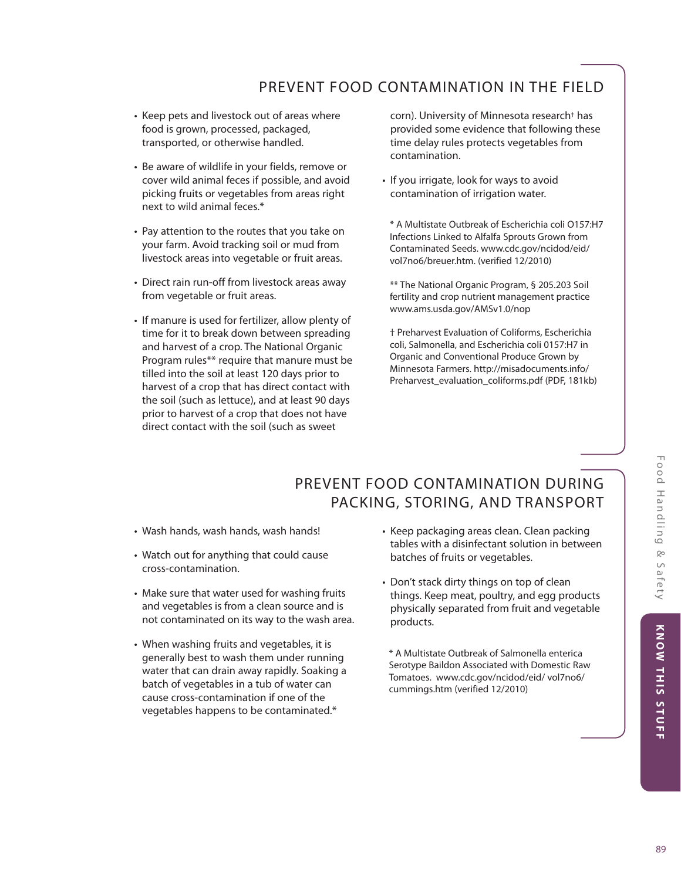# PREVENT FOOD CONTAMINATION IN THE FIELD

- Keep pets and livestock out of areas where food is grown, processed, packaged, transported, or otherwise handled.
- Be aware of wildlife in your fields, remove or cover wild animal feces if possible, and avoid picking fruits or vegetables from areas right next to wild animal feces.\*
- Pay attention to the routes that you take on your farm. Avoid tracking soil or mud from livestock areas into vegetable or fruit areas.
- Direct rain run-off from livestock areas away from vegetable or fruit areas.
- If manure is used for fertilizer, allow plenty of time for it to break down between spreading and harvest of a crop. The National Organic Program rules\*\* require that manure must be tilled into the soil at least 120 days prior to harvest of a crop that has direct contact with the soil (such as lettuce), and at least 90 days prior to harvest of a crop that does not have direct contact with the soil (such as sweet

corn). University of Minnesota research† has provided some evidence that following these time delay rules protects vegetables from contamination.

• If you irrigate, look for ways to avoid contamination of irrigation water.

\* A Multistate Outbreak of Escherichia coli O157:H7 Infections Linked to Alfalfa Sprouts Grown from Contaminated Seeds. www.cdc.gov/ncidod/eid/ vol7no6/breuer.htm. (verified 12/2010)

\*\* The National Organic Program, § 205.203 Soil fertility and crop nutrient management practice www.ams.usda.gov/AMSv1.0/nop

† Preharvest Evaluation of Coliforms, Escherichia coli, Salmonella, and Escherichia coli 0157:H7 in Organic and Conventional Produce Grown by Minnesota Farmers. http://misadocuments.info/ Preharvest\_evaluation\_coliforms.pdf (PDF, 181kb)

# PREVENT FOOD CONTAMINATION DURING PACKING, STORING, AND TRANSPORT

- Wash hands, wash hands, wash hands!
- Watch out for anything that could cause cross-contamination.
- Make sure that water used for washing fruits and vegetables is from a clean source and is not contaminated on its way to the wash area.
- When washing fruits and vegetables, it is generally best to wash them under running water that can drain away rapidly. Soaking a batch of vegetables in a tub of water can cause cross-contamination if one of the vegetables happens to be contaminated.\*
- Keep packaging areas clean. Clean packing tables with a disinfectant solution in between batches of fruits or vegetables.
- Don't stack dirty things on top of clean things. Keep meat, poultry, and egg products physically separated from fruit and vegetable products.

\* A Multistate Outbreak of Salmonella enterica Serotype Baildon Associated with Domestic Raw Tomatoes. www.cdc.gov/ncidod/eid/ vol7no6/ cummings.htm (verified 12/2010)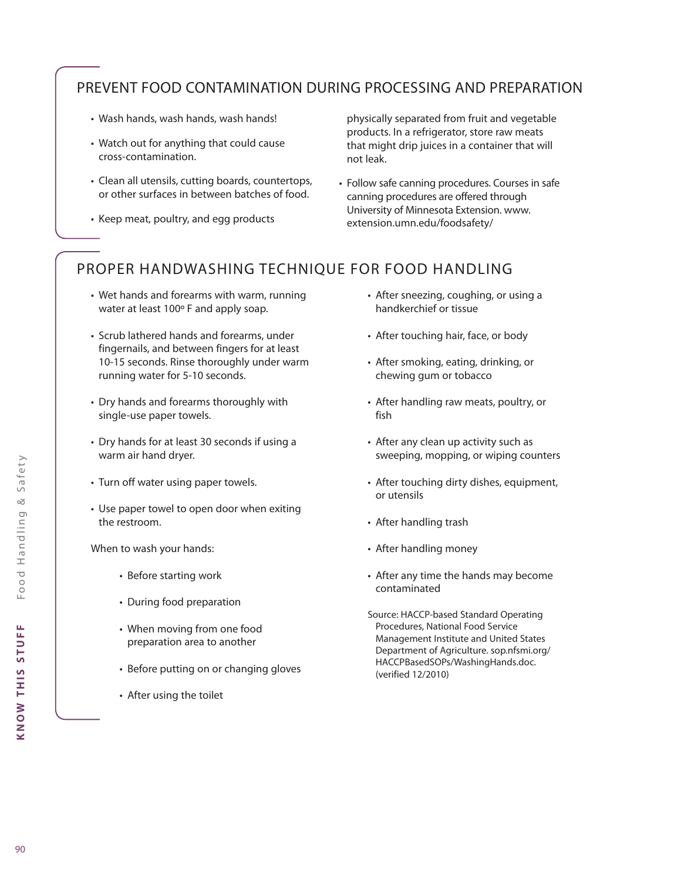# PREVENT FOOD CONTAMINATION DURING PROCESSING AND PREPARATION

- Wash hands, wash hands, wash hands!
- Watch out for anything that could cause cross-contamination.
- Clean all utensils, cutting boards, countertops, or other surfaces in between batches of food.
- Keep meat, poultry, and egg products

physically separated from fruit and vegetable products. In a refrigerator, store raw meats that might drip juices in a container that will not leak.

• Follow safe canning procedures. Courses in safe canning procedures are offered through University of Minnesota Extension. www. extension.umn.edu/foodsafety/

# PROPER HANDWASHING TECHNIQUE FOR FOOD HANDLING

- Wet hands and forearms with warm, running water at least 100º F and apply soap.
- Scrub lathered hands and forearms, under fingernails, and between fingers for at least 10-15 seconds. Rinse thoroughly under warm running water for 5-10 seconds.
- Dry hands and forearms thoroughly with single-use paper towels.
- Dry hands for at least 30 seconds if using a warm air hand dryer.
- Turn off water using paper towels.
- Use paper towel to open door when exiting the restroom.

When to wash your hands:

- Before starting work
- During food preparation
- When moving from one food preparation area to another
- Before putting on or changing gloves
- After using the toilet
- After sneezing, coughing, or using a handkerchief or tissue
- After touching hair, face, or body
- After smoking, eating, drinking, or chewing gum or tobacco
- After handling raw meats, poultry, or fish
- After any clean up activity such as sweeping, mopping, or wiping counters
- After touching dirty dishes, equipment, or utensils
- After handling trash
- After handling money
- After any time the hands may become contaminated
- Source: HACCP-based Standard Operating Procedures, National Food Service Management Institute and United States Department of Agriculture. sop.nfsmi.org/ HACCPBasedSOPs/WashingHands.doc. (verified 12/2010)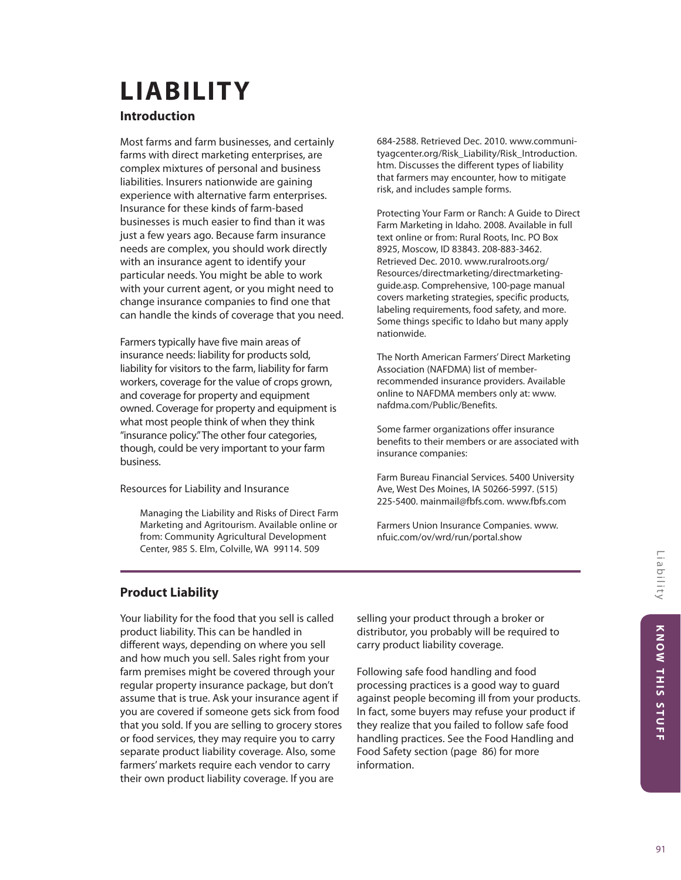# **LIABILITY**

# **Introduction**

Most farms and farm businesses, and certainly farms with direct marketing enterprises, are complex mixtures of personal and business liabilities. Insurers nationwide are gaining experience with alternative farm enterprises. Insurance for these kinds of farm-based businesses is much easier to find than it was just a few years ago. Because farm insurance needs are complex, you should work directly with an insurance agent to identify your particular needs. You might be able to work with your current agent, or you might need to change insurance companies to find one that can handle the kinds of coverage that you need.

Farmers typically have five main areas of insurance needs: liability for products sold, liability for visitors to the farm, liability for farm workers, coverage for the value of crops grown, and coverage for property and equipment owned. Coverage for property and equipment is what most people think of when they think "insurance policy." The other four categories, though, could be very important to your farm business.

Resources for Liability and Insurance

Managing the Liability and Risks of Direct Farm Marketing and Agritourism. Available online or from: Community Agricultural Development Center, 985 S. Elm, Colville, WA 99114. 509

684-2588. Retrieved Dec. 2010. www.communityagcenter.org/Risk\_Liability/Risk\_Introduction. htm. Discusses the different types of liability that farmers may encounter, how to mitigate risk, and includes sample forms.

Protecting Your Farm or Ranch: A Guide to Direct Farm Marketing in Idaho. 2008. Available in full text online or from: Rural Roots, Inc. PO Box 8925, Moscow, ID 83843. 208-883-3462. Retrieved Dec. 2010. www.ruralroots.org/ Resources/directmarketing/directmarketingguide.asp. Comprehensive, 100-page manual covers marketing strategies, specific products, labeling requirements, food safety, and more. Some things specific to Idaho but many apply nationwide.

The North American Farmers' Direct Marketing Association (NAFDMA) list of memberrecommended insurance providers. Available online to NAFDMA members only at: www. nafdma.com/Public/Benefits.

Some farmer organizations offer insurance benefits to their members or are associated with insurance companies:

Farm Bureau Financial Services. 5400 University Ave, West Des Moines, IA 50266-5997. (515) 225-5400. mainmail@fbfs.com. www.fbfs.com

Farmers Union Insurance Companies. www. nfuic.com/ov/wrd/run/portal.show

# **Product Liability**

Your liability for the food that you sell is called product liability. This can be handled in different ways, depending on where you sell and how much you sell. Sales right from your farm premises might be covered through your regular property insurance package, but don't assume that is true. Ask your insurance agent if you are covered if someone gets sick from food that you sold. If you are selling to grocery stores or food services, they may require you to carry separate product liability coverage. Also, some farmers' markets require each vendor to carry their own product liability coverage. If you are

selling your product through a broker or distributor, you probably will be required to carry product liability coverage.

Following safe food handling and food processing practices is a good way to guard against people becoming ill from your products. In fact, some buyers may refuse your product if they realize that you failed to follow safe food handling practices. See the Food Handling and Food Safety section (page 86) for more information.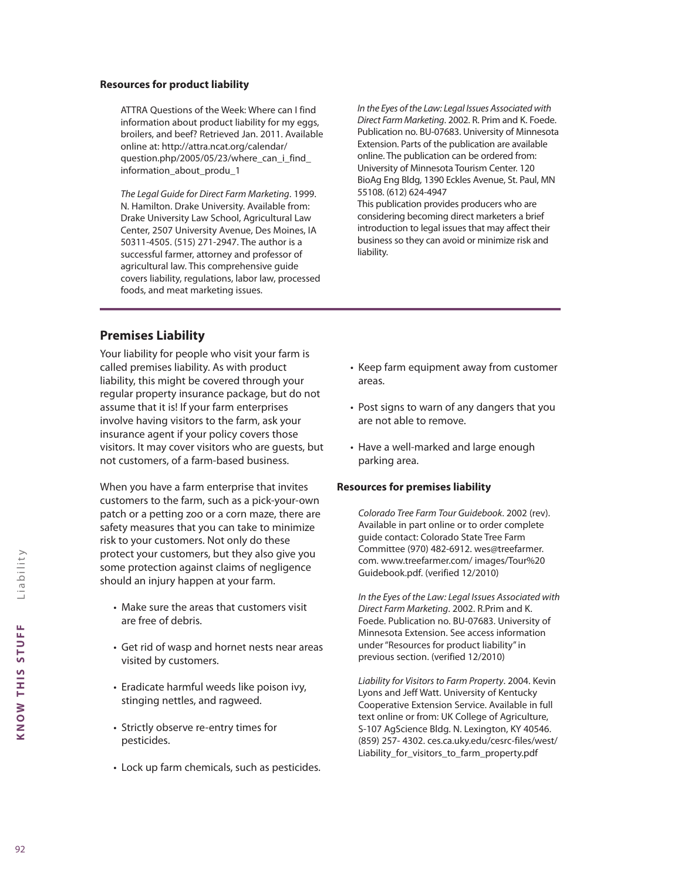#### **Resources for product liability**

ATTRA Questions of the Week: Where can I find information about product liability for my eggs, broilers, and beef? Retrieved Jan. 2011. Available online at: http://attra.ncat.org/calendar/ question.php/2005/05/23/where\_can\_i\_find information\_about\_produ\_1

*The Legal Guide for Direct Farm Marketing*. 1999. N. Hamilton. Drake University. Available from: Drake University Law School, Agricultural Law Center, 2507 University Avenue, Des Moines, IA 50311-4505. (515) 271-2947. The author is a successful farmer, attorney and professor of agricultural law. This comprehensive guide covers liability, regulations, labor law, processed foods, and meat marketing issues.

*In the Eyes of the Law: Legal Issues Associated with Direct Farm Marketing*. 2002. R. Prim and K. Foede. Publication no. BU-07683. University of Minnesota Extension. Parts of the publication are available online. The publication can be ordered from: University of Minnesota Tourism Center. 120 BioAg Eng Bldg, 1390 Eckles Avenue, St. Paul, MN 55108. (612) 624-4947

This publication provides producers who are considering becoming direct marketers a brief introduction to legal issues that may affect their business so they can avoid or minimize risk and liability.

# **Premises Liability**

Your liability for people who visit your farm is called premises liability. As with product liability, this might be covered through your regular property insurance package, but do not assume that it is! If your farm enterprises involve having visitors to the farm, ask your insurance agent if your policy covers those visitors. It may cover visitors who are guests, but not customers, of a farm-based business.

When you have a farm enterprise that invites customers to the farm, such as a pick-your-own patch or a petting zoo or a corn maze, there are safety measures that you can take to minimize risk to your customers. Not only do these protect your customers, but they also give you some protection against claims of negligence should an injury happen at your farm.

- Make sure the areas that customers visit are free of debris.
- Get rid of wasp and hornet nests near areas visited by customers.
- Eradicate harmful weeds like poison ivy, stinging nettles, and ragweed.
- Strictly observe re-entry times for pesticides.
- Lock up farm chemicals, such as pesticides.
- Keep farm equipment away from customer areas.
- Post signs to warn of any dangers that you are not able to remove.
- Have a well-marked and large enough parking area.

#### **Resources for premises liability**

*Colorado Tree Farm Tour Guidebook*. 2002 (rev). Available in part online or to order complete guide contact: Colorado State Tree Farm Committee (970) 482-6912. wes@treefarmer. com. www.treefarmer.com/ images/Tour%20 Guidebook.pdf. (verified 12/2010)

*In the Eyes of the Law: Legal Issues Associated with Direct Farm Marketing*. 2002. R.Prim and K. Foede. Publication no. BU-07683. University of Minnesota Extension. See access information under "Resources for product liability" in previous section. (verified 12/2010)

*Liability for Visitors to Farm Property*. 2004. Kevin Lyons and Jeff Watt. University of Kentucky Cooperative Extension Service. Available in full text online or from: UK College of Agriculture, S-107 AgScience Bldg. N. Lexington, KY 40546. (859) 257- 4302. ces.ca.uky.edu/cesrc-files/west/ Liability\_for\_visitors\_to\_farm\_property.pdf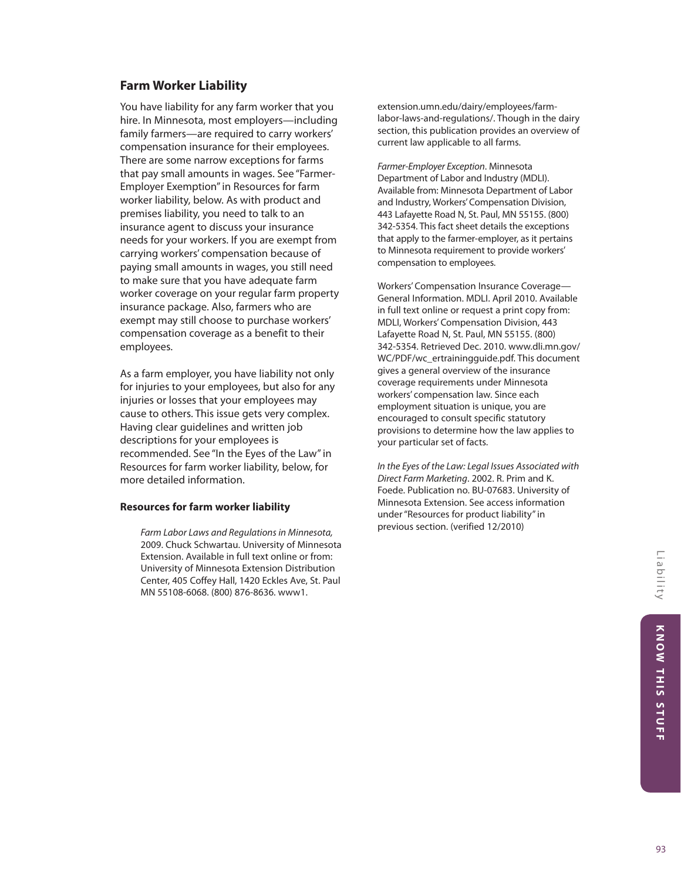# **Farm Worker Liability**

You have liability for any farm worker that you hire. In Minnesota, most employers—including family farmers—are required to carry workers' compensation insurance for their employees. There are some narrow exceptions for farms that pay small amounts in wages. See "Farmer-Employer Exemption" in Resources for farm worker liability, below. As with product and premises liability, you need to talk to an insurance agent to discuss your insurance needs for your workers. If you are exempt from carrying workers' compensation because of paying small amounts in wages, you still need to make sure that you have adequate farm worker coverage on your regular farm property insurance package. Also, farmers who are exempt may still choose to purchase workers' compensation coverage as a benefit to their employees.

As a farm employer, you have liability not only for injuries to your employees, but also for any injuries or losses that your employees may cause to others. This issue gets very complex. Having clear guidelines and written job descriptions for your employees is recommended. See "In the Eyes of the Law" in Resources for farm worker liability, below, for more detailed information.

#### **Resources for farm worker liability**

*Farm Labor Laws and Regulations in Minnesota,* 2009. Chuck Schwartau. University of Minnesota Extension. Available in full text online or from: University of Minnesota Extension Distribution Center, 405 Coffey Hall, 1420 Eckles Ave, St. Paul MN 55108-6068. (800) 876-8636. www1.

extension.umn.edu/dairy/employees/farmlabor-laws-and-regulations/. Though in the dairy section, this publication provides an overview of current law applicable to all farms.

*Farmer-Employer Exception*. Minnesota Department of Labor and Industry (MDLI). Available from: Minnesota Department of Labor and Industry, Workers' Compensation Division, 443 Lafayette Road N, St. Paul, MN 55155. (800) 342-5354. This fact sheet details the exceptions that apply to the farmer-employer, as it pertains to Minnesota requirement to provide workers' compensation to employees.

Workers' Compensation Insurance Coverage— General Information. MDLI. April 2010. Available in full text online or request a print copy from: MDLI, Workers' Compensation Division, 443 Lafayette Road N, St. Paul, MN 55155. (800) 342-5354. Retrieved Dec. 2010. www.dli.mn.gov/ WC/PDF/wc\_ertrainingguide.pdf. This document gives a general overview of the insurance coverage requirements under Minnesota workers' compensation law. Since each employment situation is unique, you are encouraged to consult specific statutory provisions to determine how the law applies to your particular set of facts.

*In the Eyes of the Law: Legal Issues Associated with Direct Farm Marketing*. 2002. R. Prim and K. Foede. Publication no. BU-07683. University of Minnesota Extension. See access information under "Resources for product liability" in previous section. (verified 12/2010)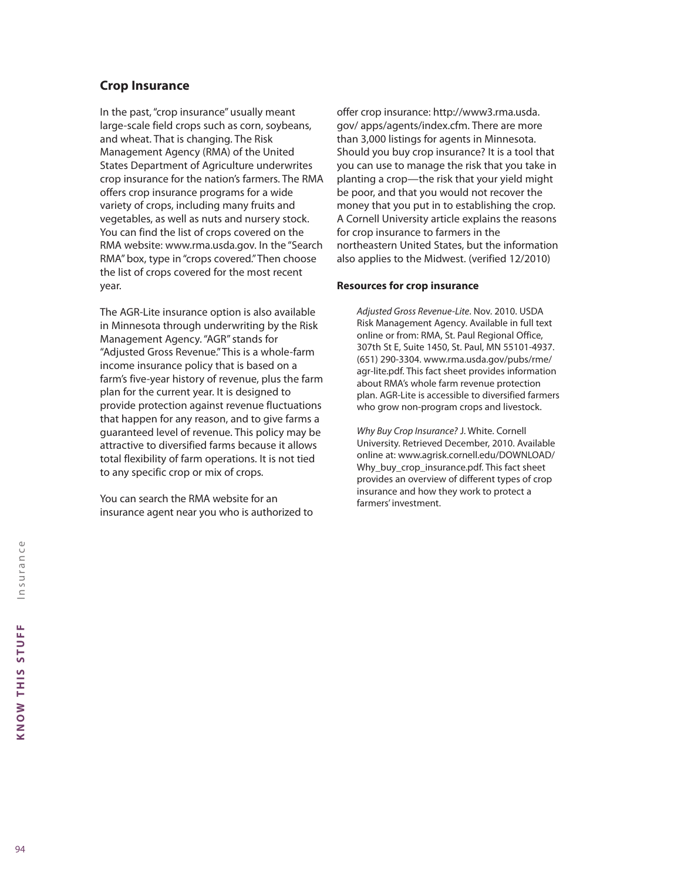# **Crop Insurance**

In the past, "crop insurance" usually meant large-scale field crops such as corn, soybeans, and wheat. That is changing. The Risk Management Agency (RMA) of the United States Department of Agriculture underwrites crop insurance for the nation's farmers. The RMA offers crop insurance programs for a wide variety of crops, including many fruits and vegetables, as well as nuts and nursery stock. You can find the list of crops covered on the RMA website: www.rma.usda.gov. In the "Search RMA" box, type in "crops covered." Then choose the list of crops covered for the most recent year.

The AGR-Lite insurance option is also available in Minnesota through underwriting by the Risk Management Agency. "AGR" stands for "Adjusted Gross Revenue." This is a whole-farm income insurance policy that is based on a farm's five-year history of revenue, plus the farm plan for the current year. It is designed to provide protection against revenue fluctuations that happen for any reason, and to give farms a guaranteed level of revenue. This policy may be attractive to diversified farms because it allows total flexibility of farm operations. It is not tied to any specific crop or mix of crops.

You can search the RMA website for an insurance agent near you who is authorized to offer crop insurance: http://www3.rma.usda. gov/ apps/agents/index.cfm. There are more than 3,000 listings for agents in Minnesota. Should you buy crop insurance? It is a tool that you can use to manage the risk that you take in planting a crop—the risk that your yield might be poor, and that you would not recover the money that you put in to establishing the crop. A Cornell University article explains the reasons for crop insurance to farmers in the northeastern United States, but the information also applies to the Midwest. (verified 12/2010)

#### **Resources for crop insurance**

*Adjusted Gross Revenue-Lite*. Nov. 2010. USDA Risk Management Agency. Available in full text online or from: RMA, St. Paul Regional Office, 307th St E, Suite 1450, St. Paul, MN 55101-4937. (651) 290-3304. www.rma.usda.gov/pubs/rme/ agr-lite.pdf. This fact sheet provides information about RMA's whole farm revenue protection plan. AGR-Lite is accessible to diversified farmers who grow non-program crops and livestock.

*Why Buy Crop Insurance?* J. White. Cornell University. Retrieved December, 2010. Available online at: www.agrisk.cornell.edu/DOWNLOAD/ Why\_buy\_crop\_insurance.pdf. This fact sheet provides an overview of different types of crop insurance and how they work to protect a farmers' investment.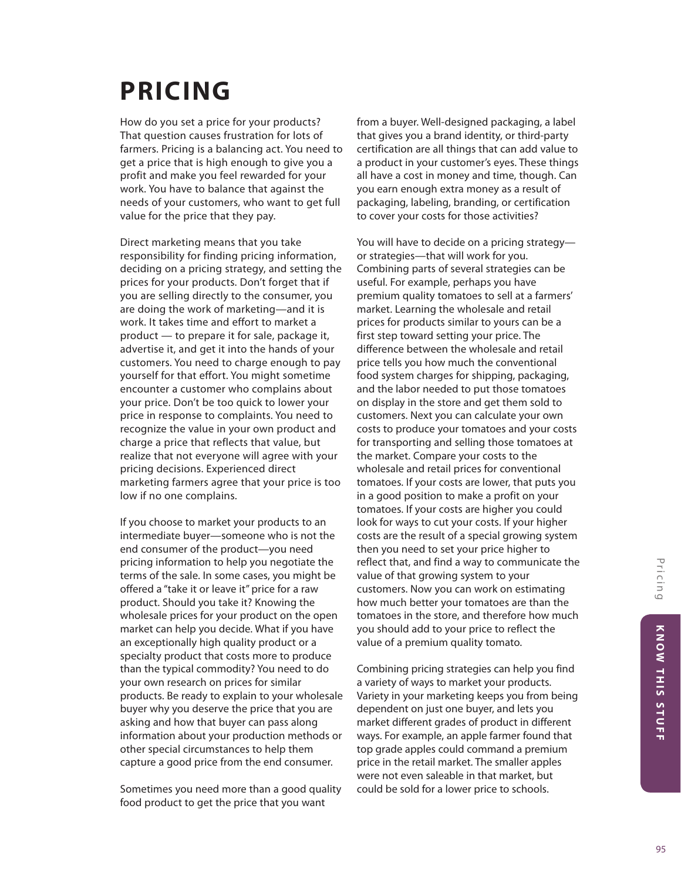# **PRICING**

How do you set a price for your products? That question causes frustration for lots of farmers. Pricing is a balancing act. You need to get a price that is high enough to give you a profit and make you feel rewarded for your work. You have to balance that against the needs of your customers, who want to get full value for the price that they pay.

Direct marketing means that you take responsibility for finding pricing information, deciding on a pricing strategy, and setting the prices for your products. Don't forget that if you are selling directly to the consumer, you are doing the work of marketing—and it is work. It takes time and effort to market a product — to prepare it for sale, package it, advertise it, and get it into the hands of your customers. You need to charge enough to pay yourself for that effort. You might sometime encounter a customer who complains about your price. Don't be too quick to lower your price in response to complaints. You need to recognize the value in your own product and charge a price that reflects that value, but realize that not everyone will agree with your pricing decisions. Experienced direct marketing farmers agree that your price is too low if no one complains.

If you choose to market your products to an intermediate buyer—someone who is not the end consumer of the product—you need pricing information to help you negotiate the terms of the sale. In some cases, you might be offered a "take it or leave it" price for a raw product. Should you take it? Knowing the wholesale prices for your product on the open market can help you decide. What if you have an exceptionally high quality product or a specialty product that costs more to produce than the typical commodity? You need to do your own research on prices for similar products. Be ready to explain to your wholesale buyer why you deserve the price that you are asking and how that buyer can pass along information about your production methods or other special circumstances to help them capture a good price from the end consumer.

Sometimes you need more than a good quality food product to get the price that you want

from a buyer. Well-designed packaging, a label that gives you a brand identity, or third-party certification are all things that can add value to a product in your customer's eyes. These things all have a cost in money and time, though. Can you earn enough extra money as a result of packaging, labeling, branding, or certification to cover your costs for those activities?

You will have to decide on a pricing strategy or strategies—that will work for you. Combining parts of several strategies can be useful. For example, perhaps you have premium quality tomatoes to sell at a farmers' market. Learning the wholesale and retail prices for products similar to yours can be a first step toward setting your price. The difference between the wholesale and retail price tells you how much the conventional food system charges for shipping, packaging, and the labor needed to put those tomatoes on display in the store and get them sold to customers. Next you can calculate your own costs to produce your tomatoes and your costs for transporting and selling those tomatoes at the market. Compare your costs to the wholesale and retail prices for conventional tomatoes. If your costs are lower, that puts you in a good position to make a profit on your tomatoes. If your costs are higher you could look for ways to cut your costs. If your higher costs are the result of a special growing system then you need to set your price higher to reflect that, and find a way to communicate the value of that growing system to your customers. Now you can work on estimating how much better your tomatoes are than the tomatoes in the store, and therefore how much you should add to your price to reflect the value of a premium quality tomato.

Combining pricing strategies can help you find a variety of ways to market your products. Variety in your marketing keeps you from being dependent on just one buyer, and lets you market different grades of product in different ways. For example, an apple farmer found that top grade apples could command a premium price in the retail market. The smaller apples were not even saleable in that market, but could be sold for a lower price to schools.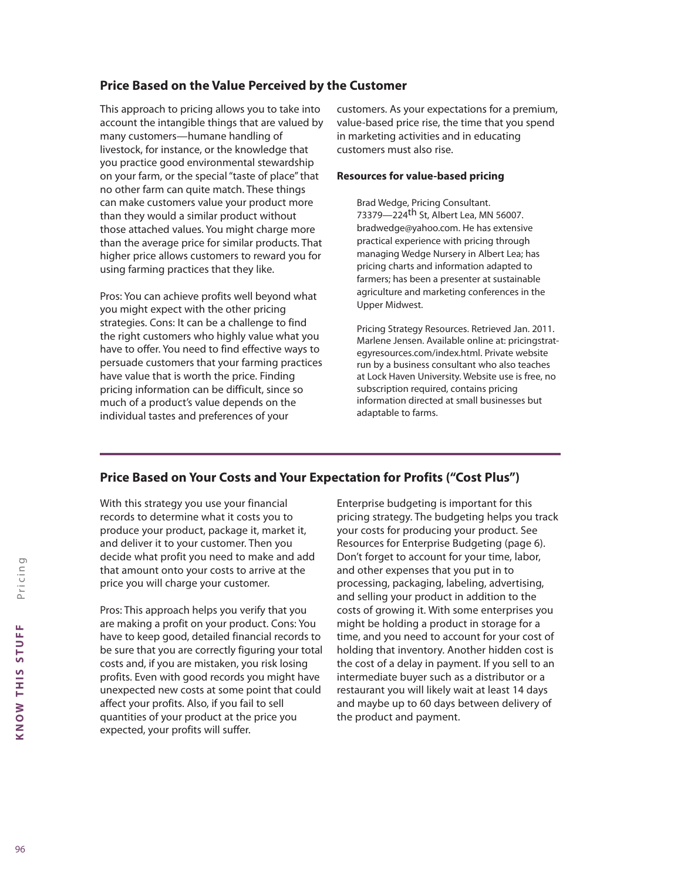# **Price Based on the Value Perceived by the Customer**

This approach to pricing allows you to take into account the intangible things that are valued by many customers—humane handling of livestock, for instance, or the knowledge that you practice good environmental stewardship on your farm, or the special "taste of place" that no other farm can quite match. These things can make customers value your product more than they would a similar product without those attached values. You might charge more than the average price for similar products. That higher price allows customers to reward you for using farming practices that they like.

Pros: You can achieve profits well beyond what you might expect with the other pricing strategies. Cons: It can be a challenge to find the right customers who highly value what you have to offer. You need to find effective ways to persuade customers that your farming practices have value that is worth the price. Finding pricing information can be difficult, since so much of a product's value depends on the individual tastes and preferences of your

customers. As your expectations for a premium, value-based price rise, the time that you spend in marketing activities and in educating customers must also rise.

#### **Resources for value-based pricing**

Brad Wedge, Pricing Consultant. 73379—224th St, Albert Lea, MN 56007. bradwedge@yahoo.com. He has extensive practical experience with pricing through managing Wedge Nursery in Albert Lea; has pricing charts and information adapted to farmers; has been a presenter at sustainable agriculture and marketing conferences in the Upper Midwest.

Pricing Strategy Resources. Retrieved Jan. 2011. Marlene Jensen. Available online at: pricingstrategyresources.com/index.html. Private website run by a business consultant who also teaches at Lock Haven University. Website use is free, no subscription required, contains pricing information directed at small businesses but adaptable to farms.

# **Price Based on Your Costs and Your Expectation for Profits ("Cost Plus")**

With this strategy you use your financial records to determine what it costs you to produce your product, package it, market it, and deliver it to your customer. Then you decide what profit you need to make and add that amount onto your costs to arrive at the price you will charge your customer.

Pros: This approach helps you verify that you are making a profit on your product. Cons: You have to keep good, detailed financial records to be sure that you are correctly figuring your total costs and, if you are mistaken, you risk losing profits. Even with good records you might have unexpected new costs at some point that could affect your profits. Also, if you fail to sell quantities of your product at the price you expected, your profits will suffer.

Enterprise budgeting is important for this pricing strategy. The budgeting helps you track your costs for producing your product. See Resources for Enterprise Budgeting (page 6). Don't forget to account for your time, labor, and other expenses that you put in to processing, packaging, labeling, advertising, and selling your product in addition to the costs of growing it. With some enterprises you might be holding a product in storage for a time, and you need to account for your cost of holding that inventory. Another hidden cost is the cost of a delay in payment. If you sell to an intermediate buyer such as a distributor or a restaurant you will likely wait at least 14 days and maybe up to 60 days between delivery of the product and payment.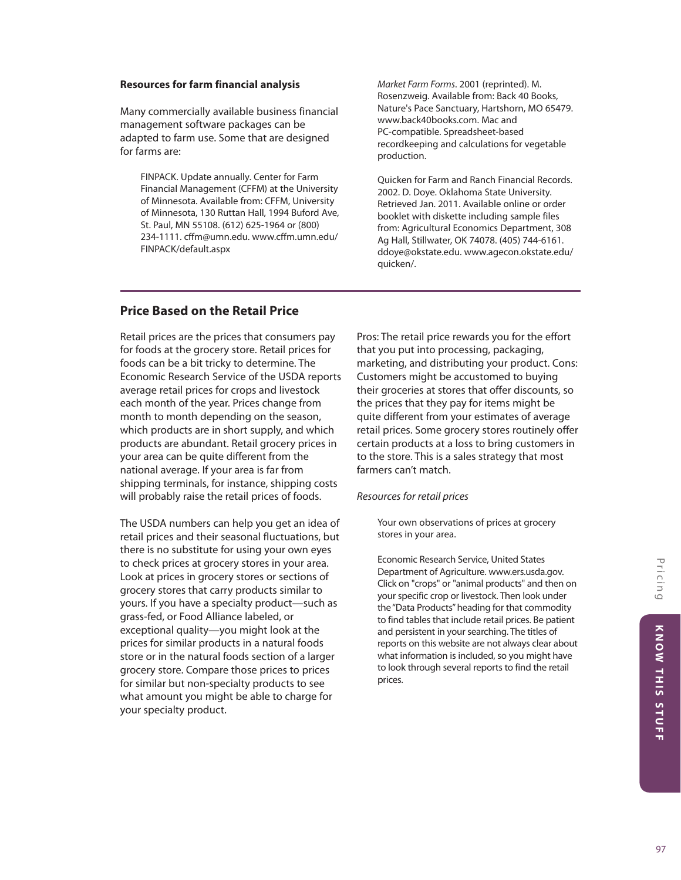#### **Resources for farm financial analysis**

Many commercially available business financial management software packages can be adapted to farm use. Some that are designed for farms are:

FINPACK. Update annually. Center for Farm Financial Management (CFFM) at the University of Minnesota. Available from: CFFM, University of Minnesota, 130 Ruttan Hall, 1994 Buford Ave, St. Paul, MN 55108. (612) 625-1964 or (800) 234-1111. cffm@umn.edu. www.cffm.umn.edu/ FINPACK/default.aspx

*Market Farm Forms*. 2001 (reprinted). M. Rosenzweig. Available from: Back 40 Books, Nature's Pace Sanctuary, Hartshorn, MO 65479. www.back40books.com. Mac and PC-compatible. Spreadsheet-based recordkeeping and calculations for vegetable production.

Quicken for Farm and Ranch Financial Records. 2002. D. Doye. Oklahoma State University. Retrieved Jan. 2011. Available online or order booklet with diskette including sample files from: Agricultural Economics Department, 308 Ag Hall, Stillwater, OK 74078. (405) 744-6161. ddoye@okstate.edu. www.agecon.okstate.edu/ quicken/.

# **Price Based on the Retail Price**

Retail prices are the prices that consumers pay for foods at the grocery store. Retail prices for foods can be a bit tricky to determine. The Economic Research Service of the USDA reports average retail prices for crops and livestock each month of the year. Prices change from month to month depending on the season, which products are in short supply, and which products are abundant. Retail grocery prices in your area can be quite different from the national average. If your area is far from shipping terminals, for instance, shipping costs will probably raise the retail prices of foods.

The USDA numbers can help you get an idea of retail prices and their seasonal fluctuations, but there is no substitute for using your own eyes to check prices at grocery stores in your area. Look at prices in grocery stores or sections of grocery stores that carry products similar to yours. If you have a specialty product—such as grass-fed, or Food Alliance labeled, or exceptional quality—you might look at the prices for similar products in a natural foods store or in the natural foods section of a larger grocery store. Compare those prices to prices for similar but non-specialty products to see what amount you might be able to charge for your specialty product.

Pros: The retail price rewards you for the effort that you put into processing, packaging, marketing, and distributing your product. Cons: Customers might be accustomed to buying their groceries at stores that offer discounts, so the prices that they pay for items might be quite different from your estimates of average retail prices. Some grocery stores routinely offer certain products at a loss to bring customers in to the store. This is a sales strategy that most farmers can't match.

#### *Resources for retail prices*

Your own observations of prices at grocery stores in your area.

Economic Research Service, United States Department of Agriculture. www.ers.usda.gov. Click on "crops" or "animal products" and then on your specific crop or livestock. Then look under the "Data Products" heading for that commodity to find tables that include retail prices. Be patient and persistent in your searching. The titles of reports on this website are not always clear about what information is included, so you might have to look through several reports to find the retail prices.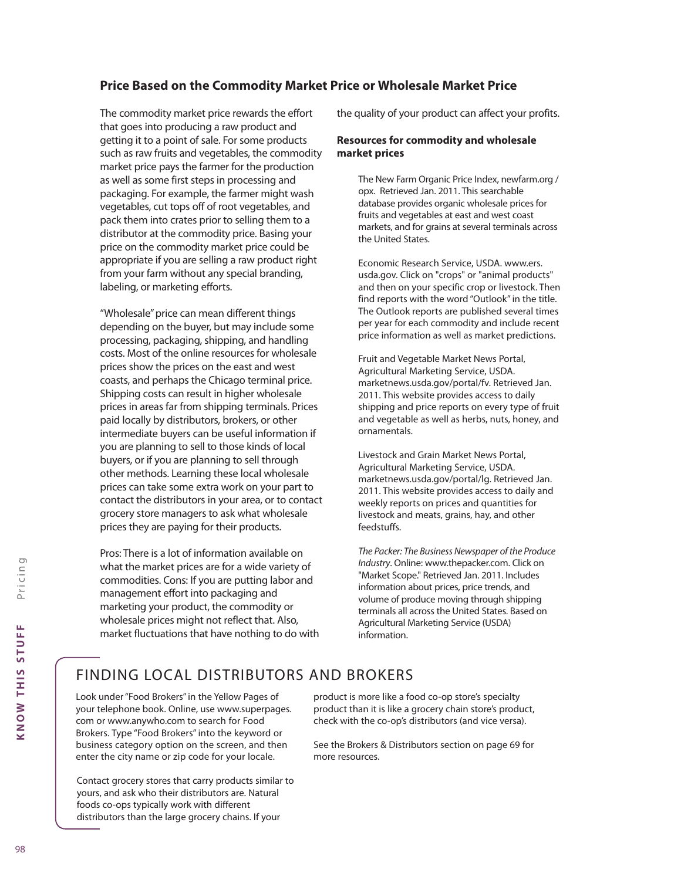# **Price Based on the Commodity Market Price or Wholesale Market Price**

The commodity market price rewards the effort that goes into producing a raw product and getting it to a point of sale. For some products such as raw fruits and vegetables, the commodity market price pays the farmer for the production as well as some first steps in processing and packaging. For example, the farmer might wash vegetables, cut tops off of root vegetables, and pack them into crates prior to selling them to a distributor at the commodity price. Basing your price on the commodity market price could be appropriate if you are selling a raw product right from your farm without any special branding, labeling, or marketing efforts.

"Wholesale" price can mean different things depending on the buyer, but may include some processing, packaging, shipping, and handling costs. Most of the online resources for wholesale prices show the prices on the east and west coasts, and perhaps the Chicago terminal price. Shipping costs can result in higher wholesale prices in areas far from shipping terminals. Prices paid locally by distributors, brokers, or other intermediate buyers can be useful information if you are planning to sell to those kinds of local buyers, or if you are planning to sell through other methods. Learning these local wholesale prices can take some extra work on your part to contact the distributors in your area, or to contact grocery store managers to ask what wholesale prices they are paying for their products.

Pros: There is a lot of information available on what the market prices are for a wide variety of commodities. Cons: If you are putting labor and management effort into packaging and marketing your product, the commodity or wholesale prices might not reflect that. Also, market fluctuations that have nothing to do with the quality of your product can affect your profits.

#### **Resources for commodity and wholesale market prices**

The New Farm Organic Price Index, newfarm.org / opx. Retrieved Jan. 2011. This searchable database provides organic wholesale prices for fruits and vegetables at east and west coast markets, and for grains at several terminals across the United States.

Economic Research Service, USDA. www.ers. usda.gov. Click on "crops" or "animal products" and then on your specific crop or livestock. Then find reports with the word "Outlook" in the title. The Outlook reports are published several times per year for each commodity and include recent price information as well as market predictions.

Fruit and Vegetable Market News Portal, Agricultural Marketing Service, USDA. marketnews.usda.gov/portal/fv. Retrieved Jan. 2011. This website provides access to daily shipping and price reports on every type of fruit and vegetable as well as herbs, nuts, honey, and ornamentals.

Livestock and Grain Market News Portal, Agricultural Marketing Service, USDA. marketnews.usda.gov/portal/lg. Retrieved Jan. 2011. This website provides access to daily and weekly reports on prices and quantities for livestock and meats, grains, hay, and other feedstuffs.

*The Packer: The Business Newspaper of the Produce Industry*. Online: www.thepacker.com. Click on "Market Scope." Retrieved Jan. 2011. Includes information about prices, price trends, and volume of produce moving through shipping terminals all across the United States. Based on Agricultural Marketing Service (USDA) information.

# FINDING LOCAL DISTRIBUTORS AND BROKERS

Look under "Food Brokers" in the Yellow Pages of your telephone book. Online, use www.superpages. com or www.anywho.com to search for Food Brokers. Type "Food Brokers" into the keyword or business category option on the screen, and then enter the city name or zip code for your locale.

Contact grocery stores that carry products similar to yours, and ask who their distributors are. Natural foods co-ops typically work with different distributors than the large grocery chains. If your

product is more like a food co-op store's specialty product than it is like a grocery chain store's product, check with the co-op's distributors (and vice versa).

See the Brokers & Distributors section on page 69 for more resources.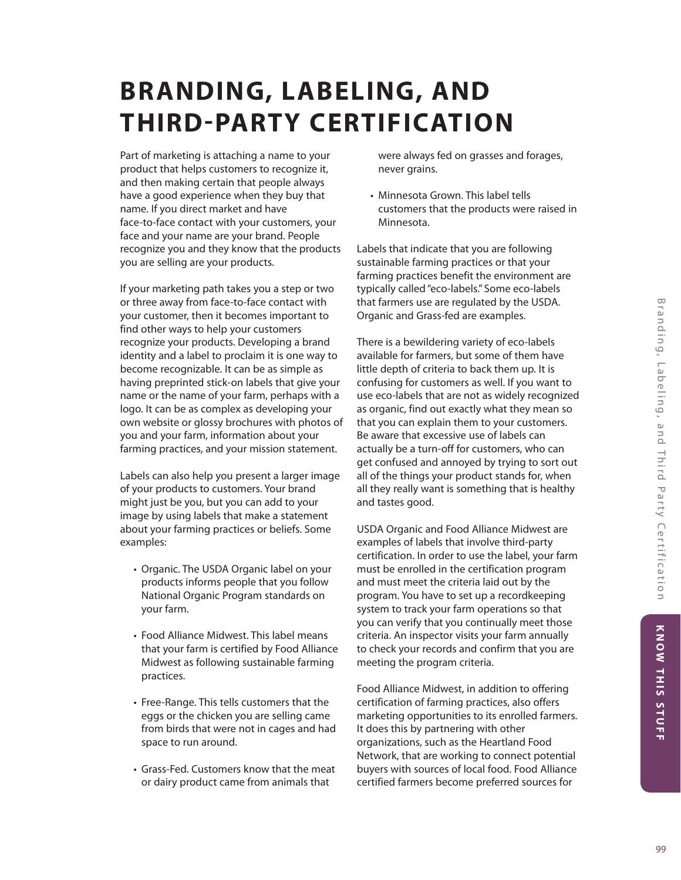# **BRANDING, LABELING, AND THIRD-PARTY CERTIFICATION**

Part of marketing is attaching a name to your product that helps customers to recognize it, and then making certain that people always have a good experience when they buy that name. If you direct market and have face-to-face contact with your customers, your face and your name are your brand. People recognize you and they know that the products you are selling are your products.

If your marketing path takes you a step or two or three away from face-to-face contact with your customer, then it becomes important to find other ways to help your customers recognize your products. Developing a brand identity and a label to proclaim it is one way to become recognizable. It can be as simple as having preprinted stick-on labels that give your name or the name of your farm, perhaps with a logo. It can be as complex as developing your own website or glossy brochures with photos of you and your farm, information about your farming practices, and your mission statement.

Labels can also help you present a larger image of your products to customers. Your brand might just be you, but you can add to your image by using labels that make a statement about your farming practices or beliefs. Some examples:

- Organic. The USDA Organic label on your products informs people that you follow National Organic Program standards on your farm.
- Food Alliance Midwest. This label means that your farm is certified by Food Alliance Midwest as following sustainable farming practices.
- Free-Range. This tells customers that the eggs or the chicken you are selling came from birds that were not in cages and had space to run around.
- Grass-Fed. Customers know that the meat or dairy product came from animals that

were always fed on grasses and forages, never grains.

• Minnesota Grown. This label tells customers that the products were raised in Minnesota.

Labels that indicate that you are following sustainable farming practices or that your farming practices benefit the environment are typically called "eco-labels." Some eco-labels that farmers use are regulated by the USDA. Organic and Grass-fed are examples.

There is a bewildering variety of eco-labels available for farmers, but some of them have little depth of criteria to back them up. It is confusing for customers as well. If you want to use eco-labels that are not as widely recognized as organic, find out exactly what they mean so that you can explain them to your customers. Be aware that excessive use of labels can actually be a turn-off for customers, who can get confused and annoyed by trying to sort out all of the things your product stands for, when all they really want is something that is healthy and tastes good.

USDA Organic and Food Alliance Midwest are examples of labels that involve third-party certification. In order to use the label, your farm must be enrolled in the certification program and must meet the criteria laid out by the program. You have to set up a recordkeeping system to track your farm operations so that you can verify that you continually meet those criteria. An inspector visits your farm annually to check your records and confirm that you are meeting the program criteria.

Food Alliance Midwest, in addition to offering certification of farming practices, also offers marketing opportunities to its enrolled farmers. It does this by partnering with other organizations, such as the Heartland Food Network, that are working to connect potential buyers with sources of local food. Food Alliance certified farmers become preferred sources for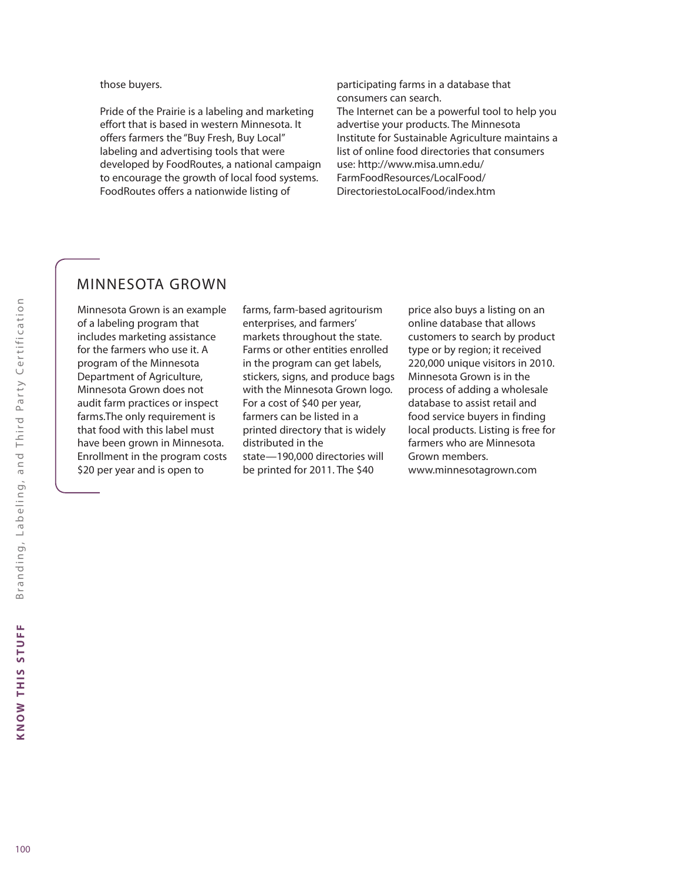those buyers.

Pride of the Prairie is a labeling and marketing effort that is based in western Minnesota. It offers farmers the "Buy Fresh, Buy Local" labeling and advertising tools that were developed by FoodRoutes, a national campaign to encourage the growth of local food systems. FoodRoutes offers a nationwide listing of

participating farms in a database that consumers can search. The Internet can be a powerful tool to help you advertise your products. The Minnesota Institute for Sustainable Agriculture maintains a list of online food directories that consumers use: http://www.misa.umn.edu/ FarmFoodResources/LocalFood/ DirectoriestoLocalFood/index.htm

# MINNESOTA GROWN

Minnesota Grown is an example of a labeling program that includes marketing assistance for the farmers who use it. A program of the Minnesota Department of Agriculture, Minnesota Grown does not audit farm practices or inspect farms.The only requirement is that food with this label must have been grown in Minnesota. Enrollment in the program costs \$20 per year and is open to

farms, farm-based agritourism enterprises, and farmers' markets throughout the state. Farms or other entities enrolled in the program can get labels, stickers, signs, and produce bags with the Minnesota Grown logo. For a cost of \$40 per year, farmers can be listed in a printed directory that is widely distributed in the state—190,000 directories will be printed for 2011. The \$40

price also buys a listing on an online database that allows customers to search by product type or by region; it received 220,000 unique visitors in 2010. Minnesota Grown is in the process of adding a wholesale database to assist retail and food service buyers in finding local products. Listing is free for farmers who are Minnesota Grown members. www.minnesotagrown.com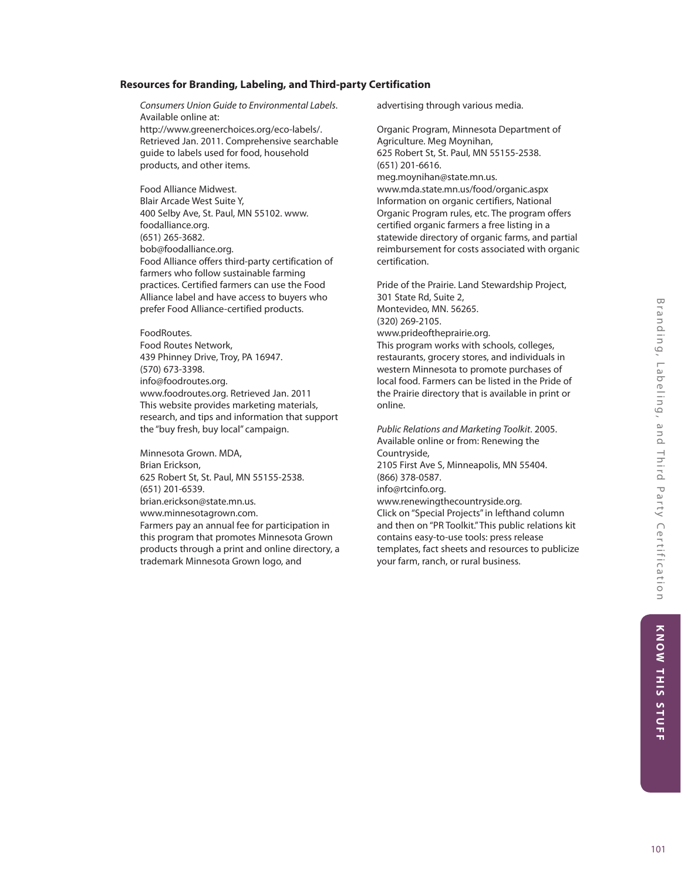# **Resources for Branding, Labeling, and Third-party Certification**

*Consumers Union Guide to Environmental Labels*. Available online at: http://www.greenerchoices.org/eco-labels/. Retrieved Jan. 2011. Comprehensive searchable guide to labels used for food, household products, and other items.

Food Alliance Midwest. Blair Arcade West Suite Y, 400 Selby Ave, St. Paul, MN 55102. www. foodalliance.org. (651) 265-3682. bob@foodalliance.org. Food Alliance offers third-party certification of farmers who follow sustainable farming practices. Certified farmers can use the Food Alliance label and have access to buyers who prefer Food Alliance-certified products.

FoodRoutes. Food Routes Network, 439 Phinney Drive, Troy, PA 16947. (570) 673-3398. info@foodroutes.org. www.foodroutes.org. Retrieved Jan. 2011 This website provides marketing materials, research, and tips and information that support the "buy fresh, buy local" campaign.

Minnesota Grown. MDA, Brian Erickson, 625 Robert St, St. Paul, MN 55155-2538. (651) 201-6539. brian.erickson@state.mn.us. www.minnesotagrown.com. Farmers pay an annual fee for participation in this program that promotes Minnesota Grown products through a print and online directory, a trademark Minnesota Grown logo, and

advertising through various media.

Organic Program, Minnesota Department of Agriculture. Meg Moynihan, 625 Robert St, St. Paul, MN 55155-2538. (651) 201-6616. meg.moynihan@state.mn.us. www.mda.state.mn.us/food/organic.aspx Information on organic certifiers, National Organic Program rules, etc. The program offers certified organic farmers a free listing in a statewide directory of organic farms, and partial reimbursement for costs associated with organic certification.

Pride of the Prairie. Land Stewardship Project, 301 State Rd, Suite 2, Montevideo, MN. 56265. (320) 269-2105. www.prideoftheprairie.org. This program works with schools, colleges, restaurants, grocery stores, and individuals in western Minnesota to promote purchases of local food. Farmers can be listed in the Pride of the Prairie directory that is available in print or online.

*Public Relations and Marketing Toolkit*. 2005. Available online or from: Renewing the Countryside, 2105 First Ave S, Minneapolis, MN 55404. (866) 378-0587. info@rtcinfo.org. www.renewingthecountryside.org. Click on "Special Projects" in lefthand column and then on "PR Toolkit." This public relations kit contains easy-to-use tools: press release templates, fact sheets and resources to publicize your farm, ranch, or rural business.

KNOW THIS STUFF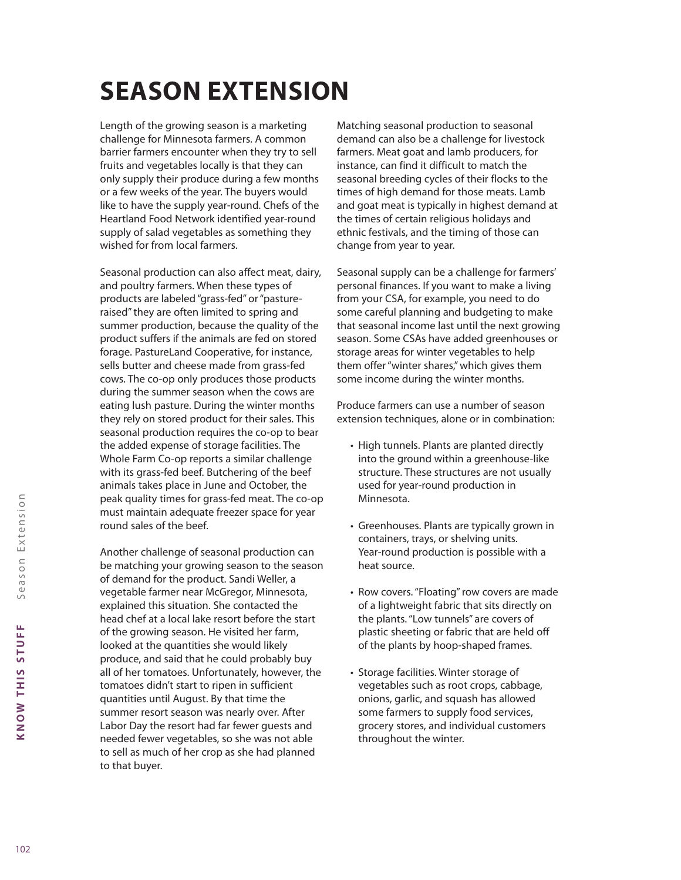# **SEASON EXTENSION**

Length of the growing season is a marketing challenge for Minnesota farmers. A common barrier farmers encounter when they try to sell fruits and vegetables locally is that they can only supply their produce during a few months or a few weeks of the year. The buyers would like to have the supply year-round. Chefs of the Heartland Food Network identified year-round supply of salad vegetables as something they wished for from local farmers.

Seasonal production can also affect meat, dairy, and poultry farmers. When these types of products are labeled "grass-fed" or "pastureraised" they are often limited to spring and summer production, because the quality of the product suffers if the animals are fed on stored forage. PastureLand Cooperative, for instance, sells butter and cheese made from grass-fed cows. The co-op only produces those products during the summer season when the cows are eating lush pasture. During the winter months they rely on stored product for their sales. This seasonal production requires the co-op to bear the added expense of storage facilities. The Whole Farm Co-op reports a similar challenge with its grass-fed beef. Butchering of the beef animals takes place in June and October, the peak quality times for grass-fed meat. The co-op must maintain adequate freezer space for year round sales of the beef.

Another challenge of seasonal production can be matching your growing season to the season of demand for the product. Sandi Weller, a vegetable farmer near McGregor, Minnesota, explained this situation. She contacted the head chef at a local lake resort before the start of the growing season. He visited her farm, looked at the quantities she would likely produce, and said that he could probably buy all of her tomatoes. Unfortunately, however, the tomatoes didn't start to ripen in sufficient quantities until August. By that time the summer resort season was nearly over. After Labor Day the resort had far fewer guests and needed fewer vegetables, so she was not able to sell as much of her crop as she had planned to that buyer.

Matching seasonal production to seasonal demand can also be a challenge for livestock farmers. Meat goat and lamb producers, for instance, can find it difficult to match the seasonal breeding cycles of their flocks to the times of high demand for those meats. Lamb and goat meat is typically in highest demand at the times of certain religious holidays and ethnic festivals, and the timing of those can change from year to year.

Seasonal supply can be a challenge for farmers' personal finances. If you want to make a living from your CSA, for example, you need to do some careful planning and budgeting to make that seasonal income last until the next growing season. Some CSAs have added greenhouses or storage areas for winter vegetables to help them offer "winter shares," which gives them some income during the winter months.

Produce farmers can use a number of season extension techniques, alone or in combination:

- High tunnels. Plants are planted directly into the ground within a greenhouse-like structure. These structures are not usually used for year-round production in Minnesota.
- Greenhouses. Plants are typically grown in containers, trays, or shelving units. Year-round production is possible with a heat source.
- Row covers. "Floating" row covers are made of a lightweight fabric that sits directly on the plants. "Low tunnels" are covers of plastic sheeting or fabric that are held off of the plants by hoop-shaped frames.
- Storage facilities. Winter storage of vegetables such as root crops, cabbage, onions, garlic, and squash has allowed some farmers to supply food services, grocery stores, and individual customers throughout the winter.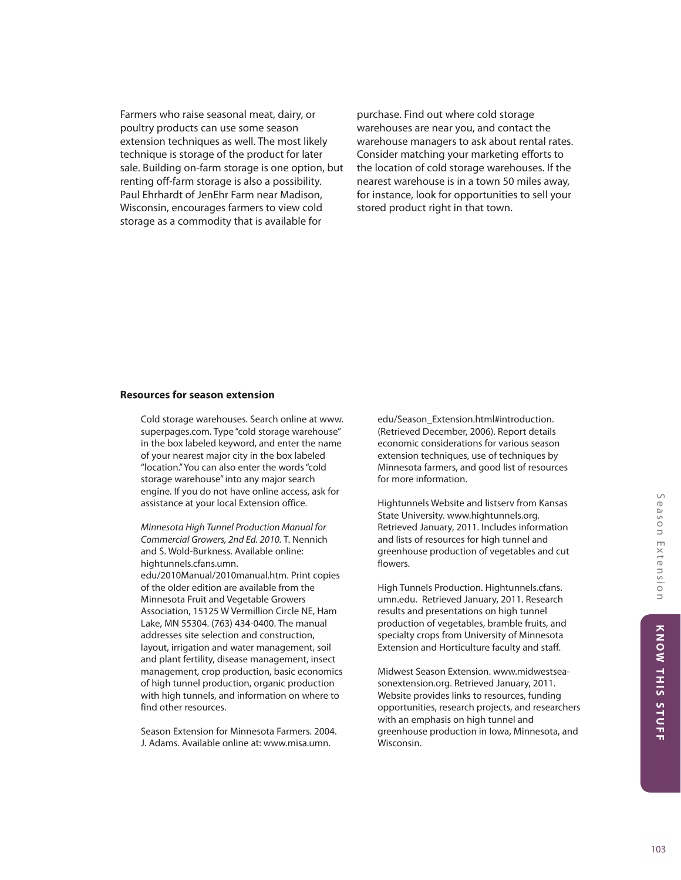Farmers who raise seasonal meat, dairy, or poultry products can use some season extension techniques as well. The most likely technique is storage of the product for later sale. Building on-farm storage is one option, but renting off-farm storage is also a possibility. Paul Ehrhardt of JenEhr Farm near Madison, Wisconsin, encourages farmers to view cold storage as a commodity that is available for

purchase. Find out where cold storage warehouses are near you, and contact the warehouse managers to ask about rental rates. Consider matching your marketing efforts to the location of cold storage warehouses. If the nearest warehouse is in a town 50 miles away, for instance, look for opportunities to sell your stored product right in that town.

#### **Resources for season extension**

Cold storage warehouses. Search online at www. superpages.com. Type "cold storage warehouse" in the box labeled keyword, and enter the name of your nearest major city in the box labeled "location." You can also enter the words "cold storage warehouse" into any major search engine. If you do not have online access, ask for assistance at your local Extension office.

*Minnesota High Tunnel Production Manual for Commercial Growers, 2nd Ed. 2010.* T. Nennich and S. Wold-Burkness. Available online: hightunnels.cfans.umn. edu/2010Manual/2010manual.htm. Print copies of the older edition are available from the Minnesota Fruit and Vegetable Growers Association, 15125 W Vermillion Circle NE, Ham Lake, MN 55304. (763) 434-0400. The manual addresses site selection and construction, layout, irrigation and water management, soil and plant fertility, disease management, insect management, crop production, basic economics of high tunnel production, organic production with high tunnels, and information on where to find other resources.

Season Extension for Minnesota Farmers. 2004. J. Adams. Available online at: www.misa.umn.

edu/Season\_Extension.html#introduction. (Retrieved December, 2006). Report details economic considerations for various season extension techniques, use of techniques by Minnesota farmers, and good list of resources for more information.

Hightunnels Website and listserv from Kansas State University. www.hightunnels.org. Retrieved January, 2011. Includes information and lists of resources for high tunnel and greenhouse production of vegetables and cut flowers.

High Tunnels Production. Hightunnels.cfans. umn.edu. Retrieved January, 2011. Research results and presentations on high tunnel production of vegetables, bramble fruits, and specialty crops from University of Minnesota Extension and Horticulture faculty and staff.

Midwest Season Extension. www.midwestseasonextension.org. Retrieved January, 2011. Website provides links to resources, funding opportunities, research projects, and researchers with an emphasis on high tunnel and greenhouse production in Iowa, Minnesota, and Wisconsin.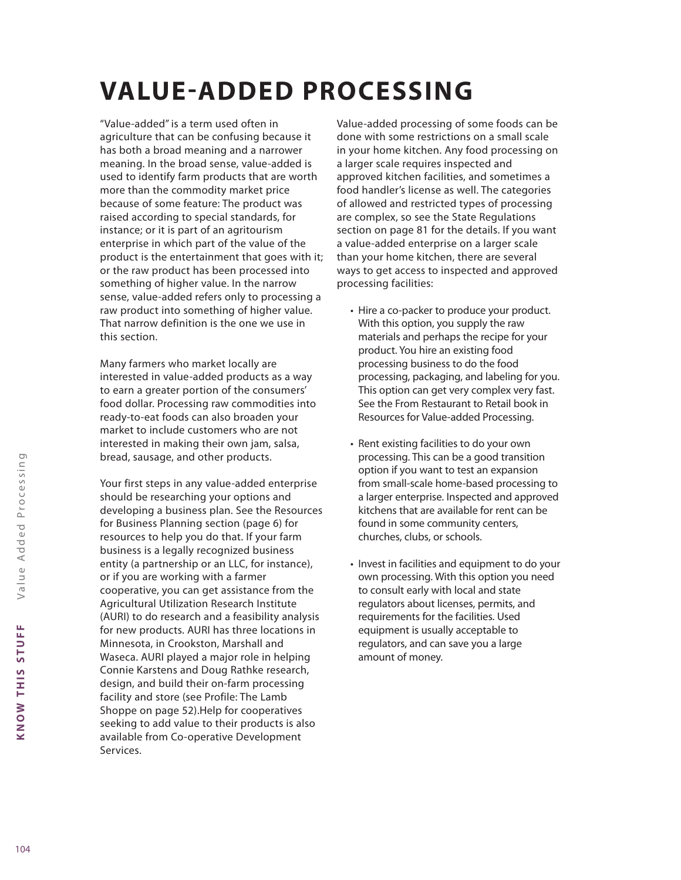# **VALUE-ADDED PROCESSING**

"Value-added" is a term used often in agriculture that can be confusing because it has both a broad meaning and a narrower meaning. In the broad sense, value-added is used to identify farm products that are worth more than the commodity market price because of some feature: The product was raised according to special standards, for instance; or it is part of an agritourism enterprise in which part of the value of the product is the entertainment that goes with it; or the raw product has been processed into something of higher value. In the narrow sense, value-added refers only to processing a raw product into something of higher value. That narrow definition is the one we use in this section.

Many farmers who market locally are interested in value-added products as a way to earn a greater portion of the consumers' food dollar. Processing raw commodities into ready-to-eat foods can also broaden your market to include customers who are not interested in making their own jam, salsa, bread, sausage, and other products.

Your first steps in any value-added enterprise should be researching your options and developing a business plan. See the Resources for Business Planning section (page 6) for resources to help you do that. If your farm business is a legally recognized business entity (a partnership or an LLC, for instance), or if you are working with a farmer cooperative, you can get assistance from the Agricultural Utilization Research Institute (AURI) to do research and a feasibility analysis for new products. AURI has three locations in Minnesota, in Crookston, Marshall and Waseca. AURI played a major role in helping Connie Karstens and Doug Rathke research, design, and build their on-farm processing facility and store (see Profile: The Lamb Shoppe on page 52).Help for cooperatives seeking to add value to their products is also available from Co-operative Development Services.

Value-added processing of some foods can be done with some restrictions on a small scale in your home kitchen. Any food processing on a larger scale requires inspected and approved kitchen facilities, and sometimes a food handler's license as well. The categories of allowed and restricted types of processing are complex, so see the State Regulations section on page 81 for the details. If you want a value-added enterprise on a larger scale than your home kitchen, there are several ways to get access to inspected and approved processing facilities:

- Hire a co-packer to produce your product. With this option, you supply the raw materials and perhaps the recipe for your product. You hire an existing food processing business to do the food processing, packaging, and labeling for you. This option can get very complex very fast. See the From Restaurant to Retail book in Resources for Value-added Processing.
- Rent existing facilities to do your own processing. This can be a good transition option if you want to test an expansion from small-scale home-based processing to a larger enterprise. Inspected and approved kitchens that are available for rent can be found in some community centers, churches, clubs, or schools.
- Invest in facilities and equipment to do your own processing. With this option you need to consult early with local and state regulators about licenses, permits, and requirements for the facilities. Used equipment is usually acceptable to regulators, and can save you a large amount of money.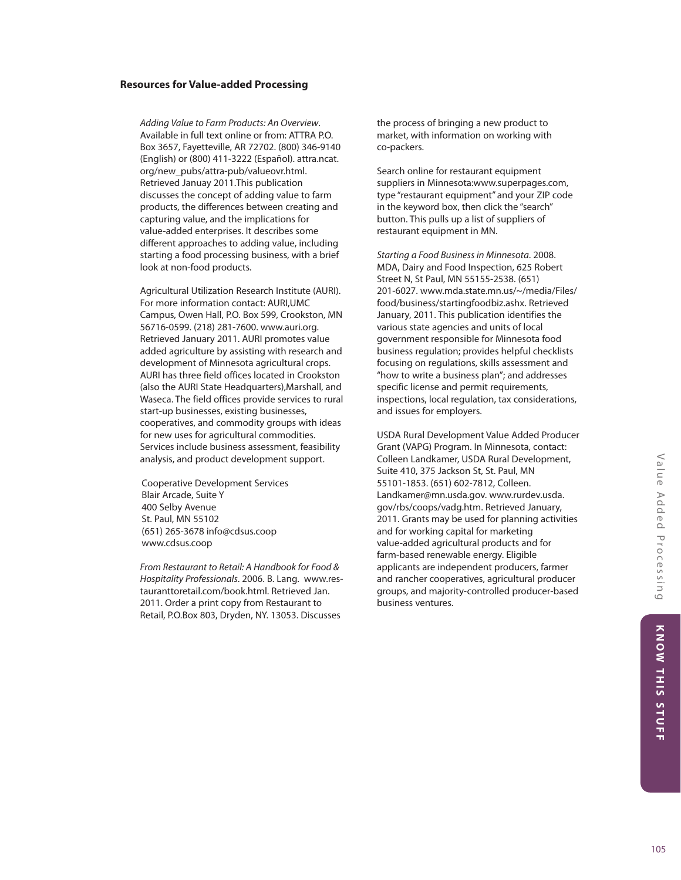#### **Resources for Value-added Processing**

*Adding Value to Farm Products: An Overview*. Available in full text online or from: ATTRA P.O. Box 3657, Fayetteville, AR 72702. (800) 346-9140 (English) or (800) 411-3222 (Español). attra.ncat. org/new\_pubs/attra-pub/valueovr.html. Retrieved Januay 2011.This publication discusses the concept of adding value to farm products, the differences between creating and capturing value, and the implications for value-added enterprises. It describes some different approaches to adding value, including starting a food processing business, with a brief look at non-food products.

Agricultural Utilization Research Institute (AURI). For more information contact: AURI,UMC Campus, Owen Hall, P.O. Box 599, Crookston, MN 56716-0599. (218) 281-7600. www.auri.org. Retrieved January 2011. AURI promotes value added agriculture by assisting with research and development of Minnesota agricultural crops. AURI has three field offices located in Crookston (also the AURI State Headquarters),Marshall, and Waseca. The field offices provide services to rural start-up businesses, existing businesses, cooperatives, and commodity groups with ideas for new uses for agricultural commodities. Services include business assessment, feasibility analysis, and product development support.

Cooperative Development Services Blair Arcade, Suite Y 400 Selby Avenue St. Paul, MN 55102 (651) 265-3678 info@cdsus.coop www.cdsus.coop

*From Restaurant to Retail: A Handbook for Food & Hospitality Professionals*. 2006. B. Lang. www.restauranttoretail.com/book.html. Retrieved Jan. 2011. Order a print copy from Restaurant to Retail, P.O.Box 803, Dryden, NY. 13053. Discusses

the process of bringing a new product to market, with information on working with co-packers.

Search online for restaurant equipment suppliers in Minnesota:www.superpages.com, type "restaurant equipment" and your ZIP code in the keyword box, then click the "search" button. This pulls up a list of suppliers of restaurant equipment in MN.

*Starting a Food Business in Minnesota*. 2008. MDA, Dairy and Food Inspection, 625 Robert Street N, St Paul, MN 55155-2538. (651) 201-6027. www.mda.state.mn.us/~/media/Files/ food/business/startingfoodbiz.ashx. Retrieved January, 2011. This publication identifies the various state agencies and units of local government responsible for Minnesota food business regulation; provides helpful checklists focusing on regulations, skills assessment and "how to write a business plan"; and addresses specific license and permit requirements, inspections, local regulation, tax considerations, and issues for employers.

USDA Rural Development Value Added Producer Grant (VAPG) Program. In Minnesota, contact: Colleen Landkamer, USDA Rural Development, Suite 410, 375 Jackson St, St. Paul, MN 55101-1853. (651) 602-7812, Colleen. Landkamer@mn.usda.gov. www.rurdev.usda. gov/rbs/coops/vadg.htm. Retrieved January, 2011. Grants may be used for planning activities and for working capital for marketing value-added agricultural products and for farm-based renewable energy. Eligible applicants are independent producers, farmer and rancher cooperatives, agricultural producer groups, and majority-controlled producer-based business ventures.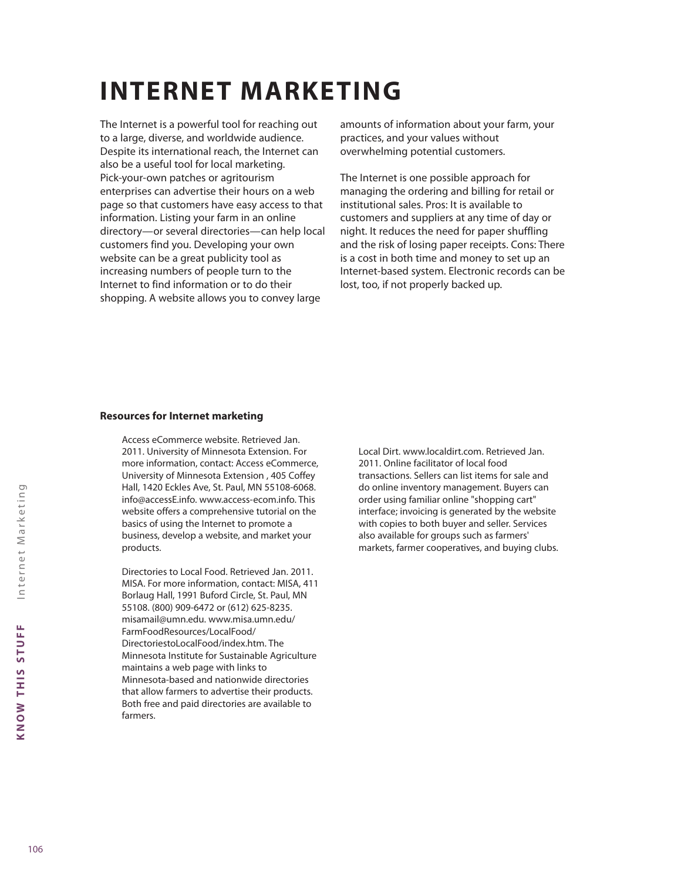# **INTERNET MARKETING**

The Internet is a powerful tool for reaching out to a large, diverse, and worldwide audience. Despite its international reach, the Internet can also be a useful tool for local marketing. Pick-your-own patches or agritourism enterprises can advertise their hours on a web page so that customers have easy access to that information. Listing your farm in an online directory—or several directories—can help local customers find you. Developing your own website can be a great publicity tool as increasing numbers of people turn to the Internet to find information or to do their shopping. A website allows you to convey large

amounts of information about your farm, your practices, and your values without overwhelming potential customers.

The Internet is one possible approach for managing the ordering and billing for retail or institutional sales. Pros: It is available to customers and suppliers at any time of day or night. It reduces the need for paper shuffling and the risk of losing paper receipts. Cons: There is a cost in both time and money to set up an Internet-based system. Electronic records can be lost, too, if not properly backed up.

#### **Resources for Internet marketing**

Access eCommerce website. Retrieved Jan. 2011. University of Minnesota Extension. For more information, contact: Access eCommerce, University of Minnesota Extension , 405 Coffey Hall, 1420 Eckles Ave, St. Paul, MN 55108-6068. info@accessE.info. www.access-ecom.info. This website offers a comprehensive tutorial on the basics of using the Internet to promote a business, develop a website, and market your products.

Directories to Local Food. Retrieved Jan. 2011. MISA. For more information, contact: MISA, 411 Borlaug Hall, 1991 Buford Circle, St. Paul, MN 55108. (800) 909-6472 or (612) 625-8235. misamail@umn.edu. www.misa.umn.edu/ FarmFoodResources/LocalFood/ DirectoriestoLocalFood/index.htm. The Minnesota Institute for Sustainable Agriculture maintains a web page with links to Minnesota-based and nationwide directories that allow farmers to advertise their products. Both free and paid directories are available to farmers.

Local Dirt. www.localdirt.com. Retrieved Jan. 2011. Online facilitator of local food transactions. Sellers can list items for sale and do online inventory management. Buyers can order using familiar online "shopping cart" interface; invoicing is generated by the website with copies to both buyer and seller. Services also available for groups such as farmers' markets, farmer cooperatives, and buying clubs.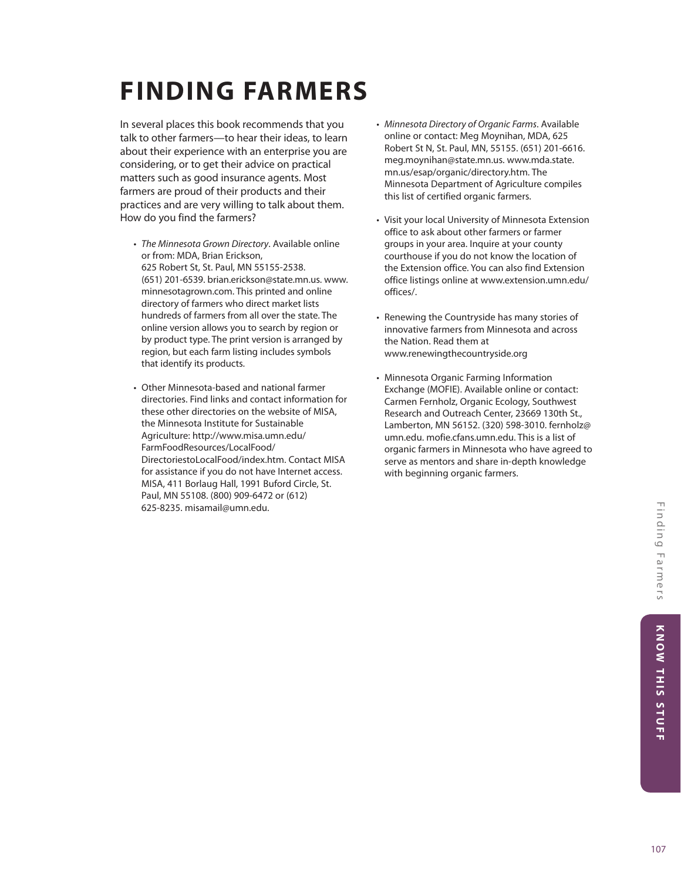# **FINDING FARMERS**

In several places this book recommends that you talk to other farmers—to hear their ideas, to learn about their experience with an enterprise you are considering, or to get their advice on practical matters such as good insurance agents. Most farmers are proud of their products and their practices and are very willing to talk about them. How do you find the farmers?

- *The Minnesota Grown Directory*. Available online or from: MDA, Brian Erickson, 625 Robert St, St. Paul, MN 55155-2538. (651) 201-6539. brian.erickson@state.mn.us. www. minnesotagrown.com. This printed and online directory of farmers who direct market lists hundreds of farmers from all over the state. The online version allows you to search by region or by product type. The print version is arranged by region, but each farm listing includes symbols that identify its products.
- Other Minnesota-based and national farmer directories. Find links and contact information for these other directories on the website of MISA, the Minnesota Institute for Sustainable Agriculture: http://www.misa.umn.edu/ FarmFoodResources/LocalFood/ DirectoriestoLocalFood/index.htm. Contact MISA for assistance if you do not have Internet access. MISA, 411 Borlaug Hall, 1991 Buford Circle, St. Paul, MN 55108. (800) 909-6472 or (612) 625-8235. misamail@umn.edu.
- *Minnesota Directory of Organic Farms*. Available online or contact: Meg Moynihan, MDA, 625 Robert St N, St. Paul, MN, 55155. (651) 201-6616. meg.moynihan@state.mn.us. www.mda.state. mn.us/esap/organic/directory.htm. The Minnesota Department of Agriculture compiles this list of certified organic farmers.
- Visit your local University of Minnesota Extension office to ask about other farmers or farmer groups in your area. Inquire at your county courthouse if you do not know the location of the Extension office. You can also find Extension office listings online at www.extension.umn.edu/ offices/.
- Renewing the Countryside has many stories of innovative farmers from Minnesota and across the Nation. Read them at www.renewingthecountryside.org
- Minnesota Organic Farming Information Exchange (MOFIE). Available online or contact: Carmen Fernholz, Organic Ecology, Southwest Research and Outreach Center, 23669 130th St., Lamberton, MN 56152. (320) 598-3010. fernholz@ umn.edu. mofie.cfans.umn.edu. This is a list of organic farmers in Minnesota who have agreed to serve as mentors and share in-depth knowledge with beginning organic farmers.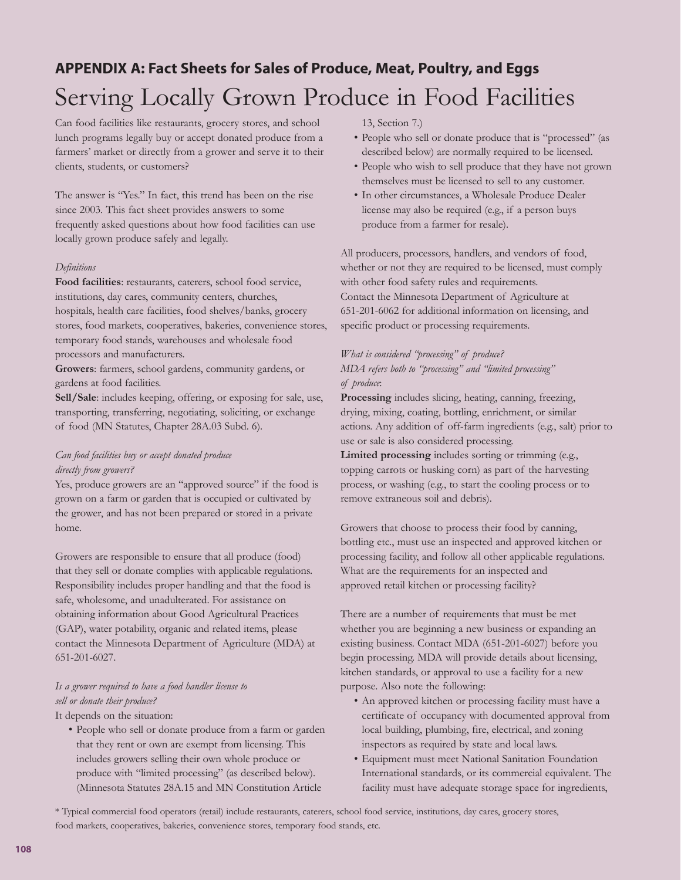# **APPENDIX A: Fact Sheets for Sales of Produce, Meat, Poultry, and Eggs** Serving Locally Grown Produce in Food Facilities

Can food facilities like restaurants, grocery stores, and school lunch programs legally buy or accept donated produce from a farmers' market or directly from a grower and serve it to their clients, students, or customers?

The answer is "Yes." In fact, this trend has been on the rise since 2003. This fact sheet provides answers to some frequently asked questions about how food facilities can use locally grown produce safely and legally.

#### *Definitions*

**Food facilities**: restaurants, caterers, school food service, institutions, day cares, community centers, churches, hospitals, health care facilities, food shelves/banks, grocery stores, food markets, cooperatives, bakeries, convenience stores, temporary food stands, warehouses and wholesale food processors and manufacturers.

**Growers**: farmers, school gardens, community gardens, or gardens at food facilities.

**Sell/Sale**: includes keeping, offering, or exposing for sale, use, transporting, transferring, negotiating, soliciting, or exchange of food (MN Statutes, Chapter 28A.03 Subd. 6).

## *Can food facilities buy or accept donated produce directly from growers?*

Yes, produce growers are an "approved source" if the food is grown on a farm or garden that is occupied or cultivated by the grower, and has not been prepared or stored in a private home.

Growers are responsible to ensure that all produce (food) that they sell or donate complies with applicable regulations. Responsibility includes proper handling and that the food is safe, wholesome, and unadulterated. For assistance on obtaining information about Good Agricultural Practices (GAP), water potability, organic and related items, please contact the Minnesota Department of Agriculture (MDA) at 651-201-6027.

# *Is a grower required to have a food handler license to sell or donate their produce?*

It depends on the situation:

• People who sell or donate produce from a farm or garden that they rent or own are exempt from licensing. This includes growers selling their own whole produce or produce with "limited processing" (as described below). (Minnesota Statutes 28A.15 and MN Constitution Article

13, Section 7.)

- People who sell or donate produce that is "processed" (as described below) are normally required to be licensed.
- People who wish to sell produce that they have not grown themselves must be licensed to sell to any customer.
- In other circumstances, a Wholesale Produce Dealer license may also be required (e.g., if a person buys produce from a farmer for resale).

All producers, processors, handlers, and vendors of food, whether or not they are required to be licensed, must comply with other food safety rules and requirements. Contact the Minnesota Department of Agriculture at 651-201-6062 for additional information on licensing, and specific product or processing requirements.

## *What is considered "processing" of produce? MDA refers both to "processing" and "limited processing" of produce*:

**Processing** includes slicing, heating, canning, freezing, drying, mixing, coating, bottling, enrichment, or similar actions. Any addition of off-farm ingredients (e.g., salt) prior to use or sale is also considered processing.

**Limited processing** includes sorting or trimming (e.g., topping carrots or husking corn) as part of the harvesting process, or washing (e.g., to start the cooling process or to remove extraneous soil and debris).

Growers that choose to process their food by canning, bottling etc., must use an inspected and approved kitchen or processing facility, and follow all other applicable regulations. What are the requirements for an inspected and approved retail kitchen or processing facility?

There are a number of requirements that must be met whether you are beginning a new business or expanding an existing business. Contact MDA (651-201-6027) before you begin processing. MDA will provide details about licensing, kitchen standards, or approval to use a facility for a new purpose. Also note the following:

- An approved kitchen or processing facility must have a certificate of occupancy with documented approval from local building, plumbing, fire, electrical, and zoning inspectors as required by state and local laws.
- Equipment must meet National Sanitation Foundation International standards, or its commercial equivalent. The facility must have adequate storage space for ingredients,

\* Typical commercial food operators (retail) include restaurants, caterers, school food service, institutions, day cares, grocery stores,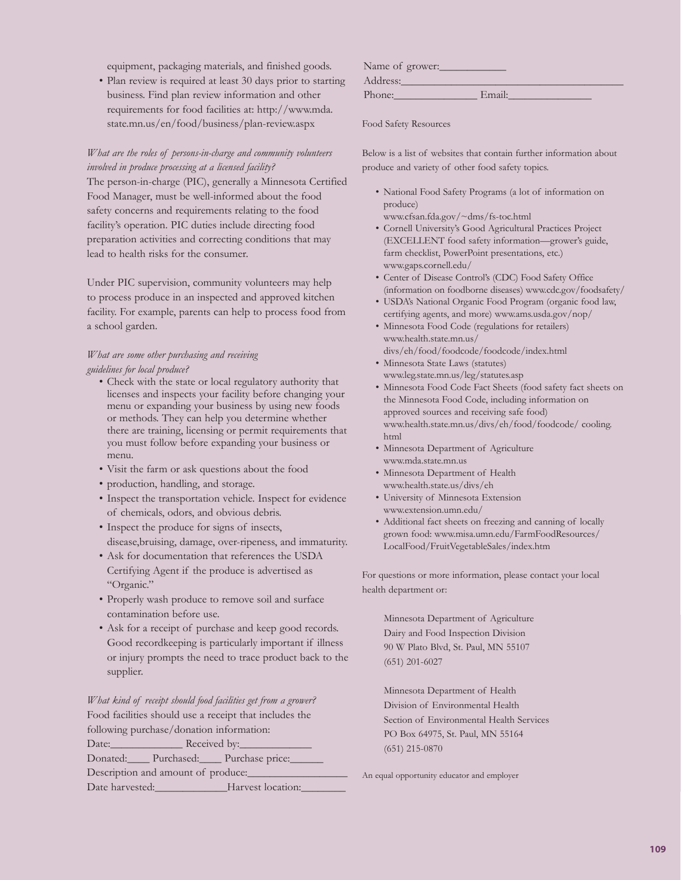equipment, packaging materials, and finished goods.

• Plan review is required at least 30 days prior to starting business. Find plan review information and other requirements for food facilities at: http://www.mda. state.mn.us/en/food/business/plan-review.aspx

## *What are the roles of persons-in-charge and community volunteers involved in produce processing at a licensed facility?*

The person-in-charge (PIC), generally a Minnesota Certified Food Manager, must be well-informed about the food safety concerns and requirements relating to the food facility's operation. PIC duties include directing food preparation activities and correcting conditions that may lead to health risks for the consumer.

Under PIC supervision, community volunteers may help to process produce in an inspected and approved kitchen facility. For example, parents can help to process food from a school garden.

## *What are some other purchasing and receiving guidelines for local produce?*

- Check with the state or local regulatory authority that licenses and inspects your facility before changing your menu or expanding your business by using new foods or methods. They can help you determine whether there are training, licensing or permit requirements that you must follow before expanding your business or menu.
- Visit the farm or ask questions about the food
- production, handling, and storage.
- Inspect the transportation vehicle. Inspect for evidence of chemicals, odors, and obvious debris.
- Inspect the produce for signs of insects, disease,bruising, damage, over-ripeness, and immaturity.
- Ask for documentation that references the USDA Certifying Agent if the produce is advertised as "Organic."
- Properly wash produce to remove soil and surface contamination before use.
- Ask for a receipt of purchase and keep good records. Good recordkeeping is particularly important if illness or injury prompts the need to trace product back to the supplier.

*What kind of receipt should food facilities get from a grower?* Food facilities should use a receipt that includes the following purchase/donation information:

| Date:                               | Received by:      |  |
|-------------------------------------|-------------------|--|
| Donated: Purchased: Purchase price: |                   |  |
| Description and amount of produce:  |                   |  |
| Date harvested:                     | Harvest location: |  |

| Name of grower: |        |
|-----------------|--------|
| Address:        |        |
| Phone:          | Email: |

Food Safety Resources

Below is a list of websites that contain further information about produce and variety of other food safety topics.

- National Food Safety Programs (a lot of information on produce)
- www.cfsan.fda.gov/~dms/fs-toc.html
- Cornell University's Good Agricultural Practices Project (EXCELLENT food safety information—grower's guide, farm checklist, PowerPoint presentations, etc.) www.gaps.cornell.edu/
- Center of Disease Control's (CDC) Food Safety Office (information on foodborne diseases) www.cdc.gov/foodsafety/
- USDA's National Organic Food Program (organic food law, certifying agents, and more) www.ams.usda.gov/nop/
- Minnesota Food Code (regulations for retailers) www.health.state.mn.us/ divs/eh/food/foodcode/foodcode/index.html
- Minnesota State Laws (statutes) www.leg.state.mn.us/leg/statutes.asp
- Minnesota Food Code Fact Sheets (food safety fact sheets on the Minnesota Food Code, including information on approved sources and receiving safe food) www.health.state.mn.us/divs/eh/food/foodcode/ cooling. html
- Minnesota Department of Agriculture www.mda.state.mn.us
- Minnesota Department of Health www.health.state.us/divs/eh
- University of Minnesota Extension www.extension.umn.edu/
- Additional fact sheets on freezing and canning of locally grown food: www.misa.umn.edu/FarmFoodResources/ LocalFood/FruitVegetableSales/index.htm

For questions or more information, please contact your local health department or:

Minnesota Department of Agriculture Dairy and Food Inspection Division 90 W Plato Blvd, St. Paul, MN 55107 (651) 201-6027

Minnesota Department of Health Division of Environmental Health Section of Environmental Health Services PO Box 64975, St. Paul, MN 55164 (651) 215-0870

An equal opportunity educator and employer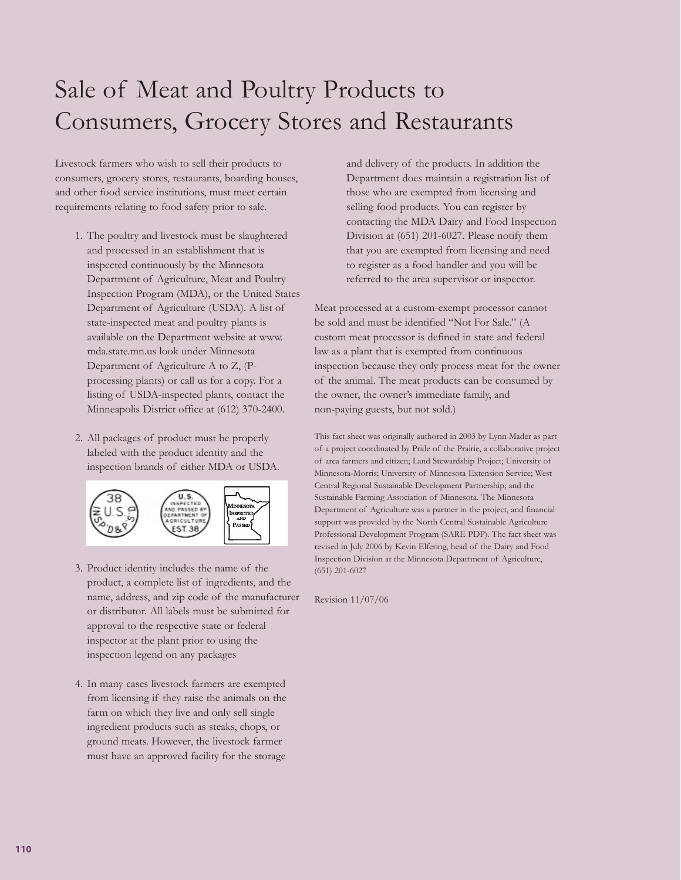# Sale of Meat and Poultry Products to Consumers, Grocery Stores and Restaurants

Livestock farmers who wish to sell their products to consumers, grocery stores, restaurants, boarding houses, and other food service institutions, must meet certain requirements relating to food safety prior to sale.

- 1. The poultry and livestock must be slaughtered and processed in an establishment that is inspected continuously by the Minnesota Department of Agriculture, Meat and Poultry Inspection Program (MDA), or the United States Department of Agriculture (USDA). A list of state-inspected meat and poultry plants is available on the Department website at www. mda.state.mn.us look under Minnesota Department of Agriculture A to Z, (Pprocessing plants) or call us for a copy. For a listing of USDA-inspected plants, contact the Minneapolis District office at (612) 370-2400.
- 2. All packages of product must be properly labeled with the product identity and the inspection brands of either MDA or USDA.



- 3. Product identity includes the name of the product, a complete list of ingredients, and the name, address, and zip code of the manufacturer or distributor. All labels must be submitted for approval to the respective state or federal inspector at the plant prior to using the inspection legend on any packages
- 4. In many cases livestock farmers are exempted from licensing if they raise the animals on the farm on which they live and only sell single ingredient products such as steaks, chops, or ground meats. However, the livestock farmer must have an approved facility for the storage

and delivery of the products. In addition the Department does maintain a registration list of those who are exempted from licensing and selling food products. You can register by contacting the MDA Dairy and Food Inspection Division at (651) 201-6027. Please notify them that you are exempted from licensing and need to register as a food handler and you will be referred to the area supervisor or inspector.

Meat processed at a custom-exempt processor cannot be sold and must be identified "Not For Sale." (A custom meat processor is defined in state and federal law as a plant that is exempted from continuous inspection because they only process meat for the owner of the animal. The meat products can be consumed by the owner, the owner's immediate family, and non-paying guests, but not sold.)

This fact sheet was originally authored in 2003 by Lynn Mader as part of a project coordinated by Pride of the Prairie, a collaborative project of area farmers and citizen; Land Stewardship Project; University of Minnesota-Morris; University of Minnesota Extension Service; West Central Regional Sustainable Development Partnership; and the Sustainable Farming Association of Minnesota. The Minnesota Department of Agriculture was a partner in the project, and financial support was provided by the North Central Sustainable Agriculture Professional Development Program (SARE PDP). The fact sheet was revised in July 2006 by Kevin Elfering, head of the Dairy and Food Inspection Division at the Minnesota Department of Agriculture, (651) 201-6027

Revision 11/07/06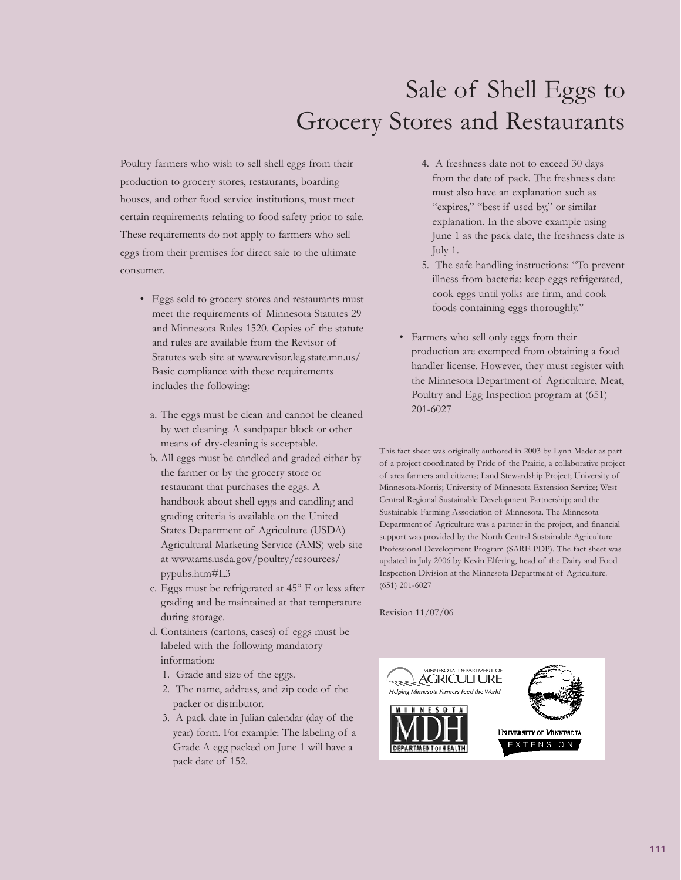# Sale of Shell Eggs to Grocery Stores and Restaurants

Poultry farmers who wish to sell shell eggs from their production to grocery stores, restaurants, boarding houses, and other food service institutions, must meet certain requirements relating to food safety prior to sale. These requirements do not apply to farmers who sell eggs from their premises for direct sale to the ultimate consumer.

- Eggs sold to grocery stores and restaurants must meet the requirements of Minnesota Statutes 29 and Minnesota Rules 1520. Copies of the statute and rules are available from the Revisor of Statutes web site at www.revisor.leg.state.mn.us/ Basic compliance with these requirements includes the following:
	- a. The eggs must be clean and cannot be cleaned by wet cleaning. A sandpaper block or other means of dry-cleaning is acceptable.
	- b. All eggs must be candled and graded either by the farmer or by the grocery store or restaurant that purchases the eggs. A handbook about shell eggs and candling and grading criteria is available on the United States Department of Agriculture (USDA) Agricultural Marketing Service (AMS) web site at www.ams.usda.gov/poultry/resources/ pypubs.htm#L3
	- c. Eggs must be refrigerated at 45° F or less after grading and be maintained at that temperature during storage.
	- d. Containers (cartons, cases) of eggs must be labeled with the following mandatory information:
		- 1. Grade and size of the eggs.
		- 2. The name, address, and zip code of the packer or distributor.
		- 3. A pack date in Julian calendar (day of the year) form. For example: The labeling of a Grade A egg packed on June 1 will have a pack date of 152.
- 4. A freshness date not to exceed 30 days from the date of pack. The freshness date must also have an explanation such as "expires," "best if used by," or similar explanation. In the above example using June 1 as the pack date, the freshness date is July 1.
- 5. The safe handling instructions: "To prevent illness from bacteria: keep eggs refrigerated, cook eggs until yolks are firm, and cook foods containing eggs thoroughly."
- Farmers who sell only eggs from their production are exempted from obtaining a food handler license. However, they must register with the Minnesota Department of Agriculture, Meat, Poultry and Egg Inspection program at (651) 201-6027

This fact sheet was originally authored in 2003 by Lynn Mader as part of a project coordinated by Pride of the Prairie, a collaborative project of area farmers and citizens; Land Stewardship Project; University of Minnesota-Morris; University of Minnesota Extension Service; West Central Regional Sustainable Development Partnership; and the Sustainable Farming Association of Minnesota. The Minnesota Department of Agriculture was a partner in the project, and financial support was provided by the North Central Sustainable Agriculture Professional Development Program (SARE PDP). The fact sheet was updated in July 2006 by Kevin Elfering, head of the Dairy and Food Inspection Division at the Minnesota Department of Agriculture. (651) 201-6027

Revision 11/07/06

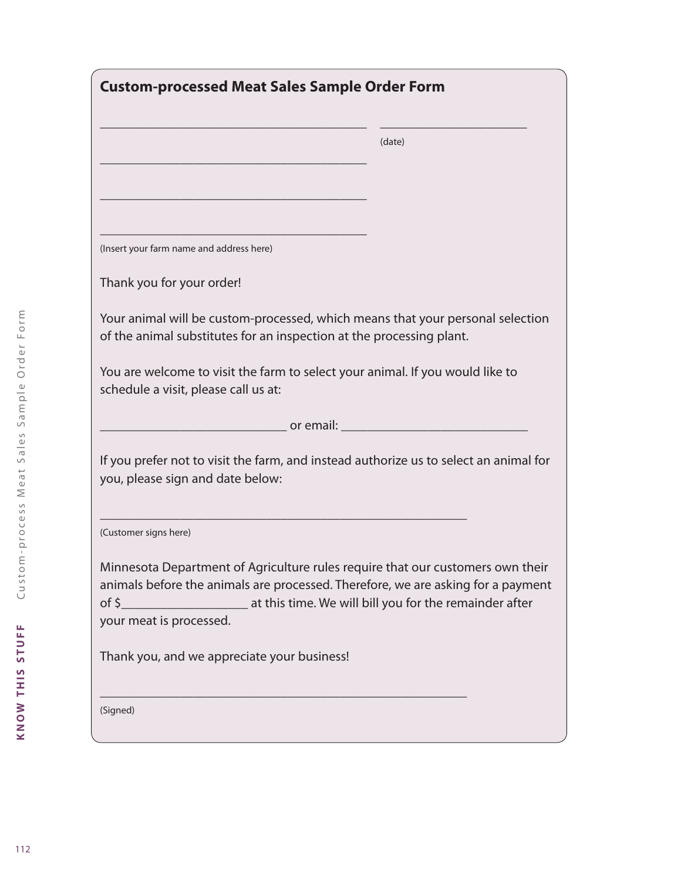| <b>Custom-processed Meat Sales Sample Order Form</b>                                                                                                                                                                                                             |        |
|------------------------------------------------------------------------------------------------------------------------------------------------------------------------------------------------------------------------------------------------------------------|--------|
|                                                                                                                                                                                                                                                                  | (date) |
|                                                                                                                                                                                                                                                                  |        |
|                                                                                                                                                                                                                                                                  |        |
| (Insert your farm name and address here)                                                                                                                                                                                                                         |        |
| Thank you for your order!                                                                                                                                                                                                                                        |        |
| Your animal will be custom-processed, which means that your personal selection<br>of the animal substitutes for an inspection at the processing plant.                                                                                                           |        |
| You are welcome to visit the farm to select your animal. If you would like to<br>schedule a visit, please call us at:                                                                                                                                            |        |
| <b>Example 2018</b> or email: <u>Example 2019</u>                                                                                                                                                                                                                |        |
| If you prefer not to visit the farm, and instead authorize us to select an animal for<br>you, please sign and date below:                                                                                                                                        |        |
| (Customer signs here)                                                                                                                                                                                                                                            |        |
| Minnesota Department of Agriculture rules require that our customers own their<br>animals before the animals are processed. Therefore, we are asking for a payment<br>at this time. We will bill you for the remainder after<br>of \$<br>your meat is processed. |        |
| Thank you, and we appreciate your business!                                                                                                                                                                                                                      |        |
| (Signed)                                                                                                                                                                                                                                                         |        |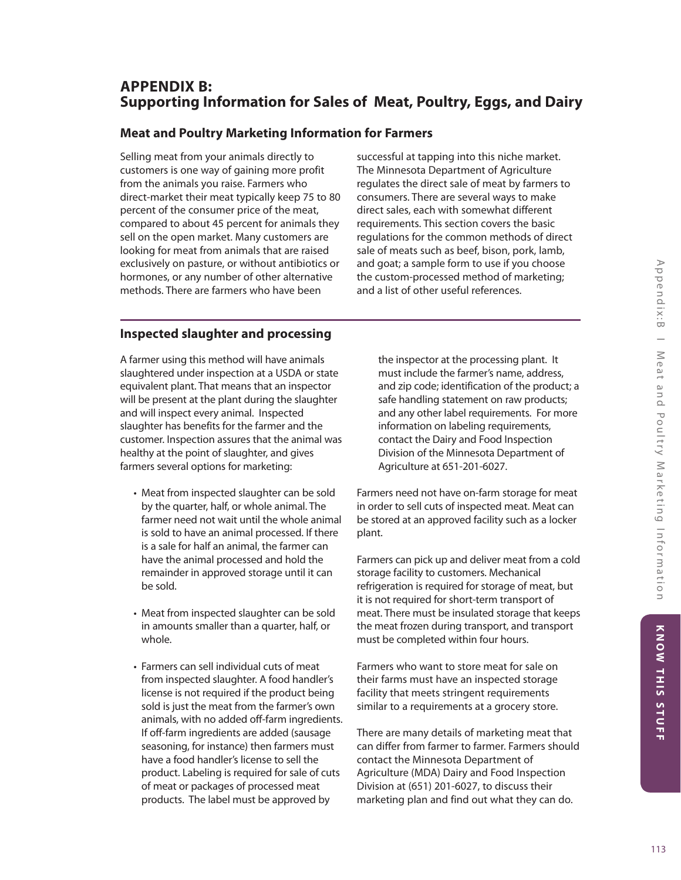# **APPENDIX B: Supporting Information for Sales of Meat, Poultry, Eggs, and Dairy**

# **Meat and Poultry Marketing Information for Farmers**

Selling meat from your animals directly to customers is one way of gaining more profit from the animals you raise. Farmers who direct-market their meat typically keep 75 to 80 percent of the consumer price of the meat, compared to about 45 percent for animals they sell on the open market. Many customers are looking for meat from animals that are raised exclusively on pasture, or without antibiotics or hormones, or any number of other alternative methods. There are farmers who have been

successful at tapping into this niche market. The Minnesota Department of Agriculture regulates the direct sale of meat by farmers to consumers. There are several ways to make direct sales, each with somewhat different requirements. This section covers the basic regulations for the common methods of direct sale of meats such as beef, bison, pork, lamb, and goat; a sample form to use if you choose the custom-processed method of marketing; and a list of other useful references.

# **Inspected slaughter and processing**

A farmer using this method will have animals slaughtered under inspection at a USDA or state equivalent plant. That means that an inspector will be present at the plant during the slaughter and will inspect every animal. Inspected slaughter has benefits for the farmer and the customer. Inspection assures that the animal was healthy at the point of slaughter, and gives farmers several options for marketing:

- Meat from inspected slaughter can be sold by the quarter, half, or whole animal. The farmer need not wait until the whole animal is sold to have an animal processed. If there is a sale for half an animal, the farmer can have the animal processed and hold the remainder in approved storage until it can be sold.
- Meat from inspected slaughter can be sold in amounts smaller than a quarter, half, or whole.
- Farmers can sell individual cuts of meat from inspected slaughter. A food handler's license is not required if the product being sold is just the meat from the farmer's own animals, with no added off-farm ingredients. If off-farm ingredients are added (sausage seasoning, for instance) then farmers must have a food handler's license to sell the product. Labeling is required for sale of cuts of meat or packages of processed meat products. The label must be approved by

the inspector at the processing plant. It must include the farmer's name, address, and zip code; identification of the product; a safe handling statement on raw products; and any other label requirements. For more information on labeling requirements, contact the Dairy and Food Inspection Division of the Minnesota Department of Agriculture at 651-201-6027.

Farmers need not have on-farm storage for meat in order to sell cuts of inspected meat. Meat can be stored at an approved facility such as a locker plant.

Farmers can pick up and deliver meat from a cold storage facility to customers. Mechanical refrigeration is required for storage of meat, but it is not required for short-term transport of meat. There must be insulated storage that keeps the meat frozen during transport, and transport must be completed within four hours.

Farmers who want to store meat for sale on their farms must have an inspected storage facility that meets stringent requirements similar to a requirements at a grocery store.

There are many details of marketing meat that can differ from farmer to farmer. Farmers should contact the Minnesota Department of Agriculture (MDA) Dairy and Food Inspection Division at (651) 201-6027, to discuss their marketing plan and find out what they can do.

KNOW THIS STUFF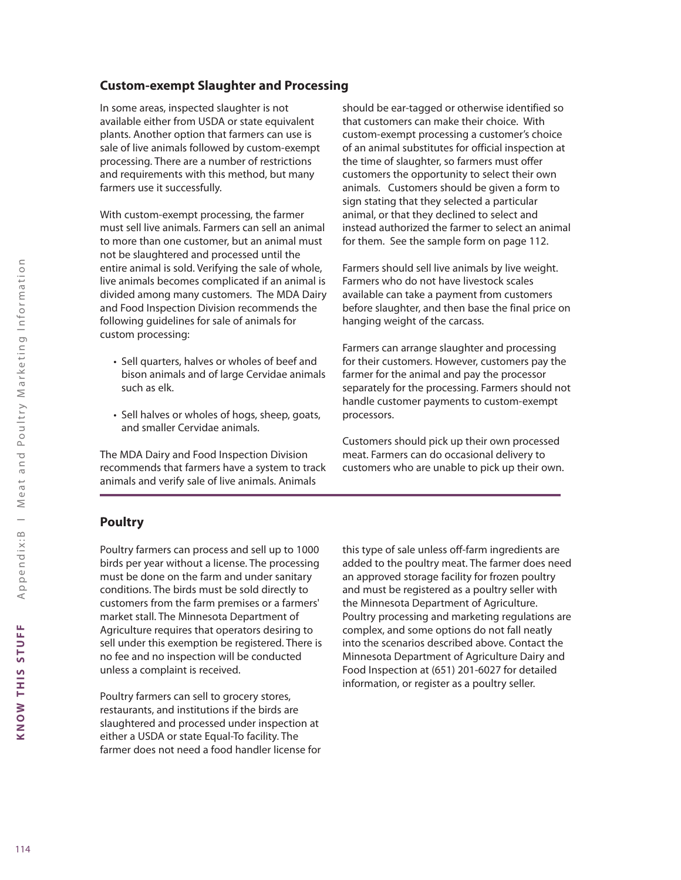# **Custom-exempt Slaughter and Processing**

In some areas, inspected slaughter is not available either from USDA or state equivalent plants. Another option that farmers can use is sale of live animals followed by custom-exempt processing. There are a number of restrictions and requirements with this method, but many farmers use it successfully.

With custom-exempt processing, the farmer must sell live animals. Farmers can sell an animal to more than one customer, but an animal must not be slaughtered and processed until the entire animal is sold. Verifying the sale of whole, live animals becomes complicated if an animal is divided among many customers. The MDA Dairy and Food Inspection Division recommends the following guidelines for sale of animals for custom processing:

- Sell quarters, halves or wholes of beef and bison animals and of large Cervidae animals such as elk.
- Sell halves or wholes of hogs, sheep, goats, and smaller Cervidae animals.

The MDA Dairy and Food Inspection Division recommends that farmers have a system to track animals and verify sale of live animals. Animals

should be ear-tagged or otherwise identified so that customers can make their choice. With custom-exempt processing a customer's choice of an animal substitutes for official inspection at the time of slaughter, so farmers must offer customers the opportunity to select their own animals. Customers should be given a form to sign stating that they selected a particular animal, or that they declined to select and instead authorized the farmer to select an animal for them. See the sample form on page 112.

Farmers should sell live animals by live weight. Farmers who do not have livestock scales available can take a payment from customers before slaughter, and then base the final price on hanging weight of the carcass.

Farmers can arrange slaughter and processing for their customers. However, customers pay the farmer for the animal and pay the processor separately for the processing. Farmers should not handle customer payments to custom-exempt processors.

Customers should pick up their own processed meat. Farmers can do occasional delivery to customers who are unable to pick up their own.

# **Poultry**

Poultry farmers can process and sell up to 1000 birds per year without a license. The processing must be done on the farm and under sanitary conditions. The birds must be sold directly to customers from the farm premises or a farmers' market stall. The Minnesota Department of Agriculture requires that operators desiring to sell under this exemption be registered. There is no fee and no inspection will be conducted unless a complaint is received.

Poultry farmers can sell to grocery stores, restaurants, and institutions if the birds are slaughtered and processed under inspection at either a USDA or state Equal-To facility. The farmer does not need a food handler license for this type of sale unless off-farm ingredients are added to the poultry meat. The farmer does need an approved storage facility for frozen poultry and must be registered as a poultry seller with the Minnesota Department of Agriculture. Poultry processing and marketing regulations are complex, and some options do not fall neatly into the scenarios described above. Contact the Minnesota Department of Agriculture Dairy and Food Inspection at (651) 201-6027 for detailed information, or register as a poultry seller.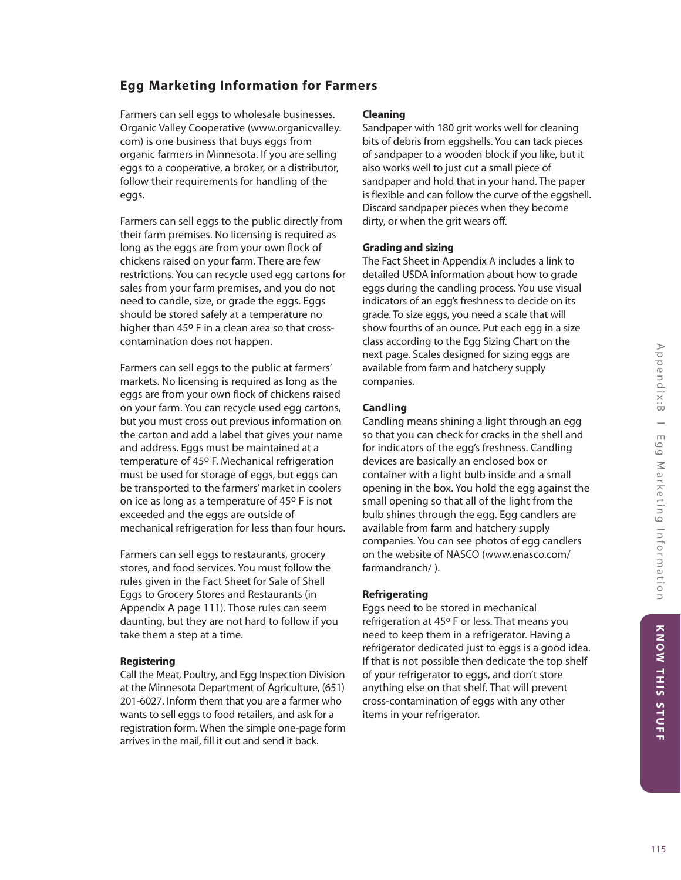# KNOW THIS STUFF

# **Egg Marketing Information for Farmers**

Farmers can sell eggs to wholesale businesses. Organic Valley Cooperative (www.organicvalley. com) is one business that buys eggs from organic farmers in Minnesota. If you are selling eggs to a cooperative, a broker, or a distributor, follow their requirements for handling of the eggs.

Farmers can sell eggs to the public directly from their farm premises. No licensing is required as long as the eggs are from your own flock of chickens raised on your farm. There are few restrictions. You can recycle used egg cartons for sales from your farm premises, and you do not need to candle, size, or grade the eggs. Eggs should be stored safely at a temperature no higher than 45° F in a clean area so that crosscontamination does not happen.

Farmers can sell eggs to the public at farmers' markets. No licensing is required as long as the eggs are from your own flock of chickens raised on your farm. You can recycle used egg cartons, but you must cross out previous information on the carton and add a label that gives your name and address. Eggs must be maintained at a temperature of 45° F. Mechanical refrigeration must be used for storage of eggs, but eggs can be transported to the farmers' market in coolers on ice as long as a temperature of 45° F is not exceeded and the eggs are outside of mechanical refrigeration for less than four hours.

Farmers can sell eggs to restaurants, grocery stores, and food services. You must follow the rules given in the Fact Sheet for Sale of Shell Eggs to Grocery Stores and Restaurants (in Appendix A page 111). Those rules can seem daunting, but they are not hard to follow if you take them a step at a time.

## **Registering**

Call the Meat, Poultry, and Egg Inspection Division at the Minnesota Department of Agriculture, (651) 201-6027. Inform them that you are a farmer who wants to sell eggs to food retailers, and ask for a registration form. When the simple one-page form arrives in the mail, fill it out and send it back.

### **Cleaning**

Sandpaper with 180 grit works well for cleaning bits of debris from eggshells. You can tack pieces of sandpaper to a wooden block if you like, but it also works well to just cut a small piece of sandpaper and hold that in your hand. The paper is flexible and can follow the curve of the eggshell. Discard sandpaper pieces when they become dirty, or when the grit wears off.

## **Grading and sizing**

The Fact Sheet in Appendix A includes a link to detailed USDA information about how to grade eggs during the candling process. You use visual indicators of an egg's freshness to decide on its grade. To size eggs, you need a scale that will show fourths of an ounce. Put each egg in a size class according to the Egg Sizing Chart on the next page. Scales designed for sizing eggs are available from farm and hatchery supply companies.

## **Candling**

Candling means shining a light through an egg so that you can check for cracks in the shell and for indicators of the egg's freshness. Candling devices are basically an enclosed box or container with a light bulb inside and a small opening in the box. You hold the egg against the small opening so that all of the light from the bulb shines through the egg. Egg candlers are available from farm and hatchery supply companies. You can see photos of egg candlers on the website of NASCO (www.enasco.com/ farmandranch/ ).

# **Refrigerating**

Eggs need to be stored in mechanical refrigeration at 45° F or less. That means you need to keep them in a refrigerator. Having a refrigerator dedicated just to eggs is a good idea. If that is not possible then dedicate the top shelf of your refrigerator to eggs, and don't store anything else on that shelf. That will prevent cross-contamination of eggs with any other items in your refrigerator.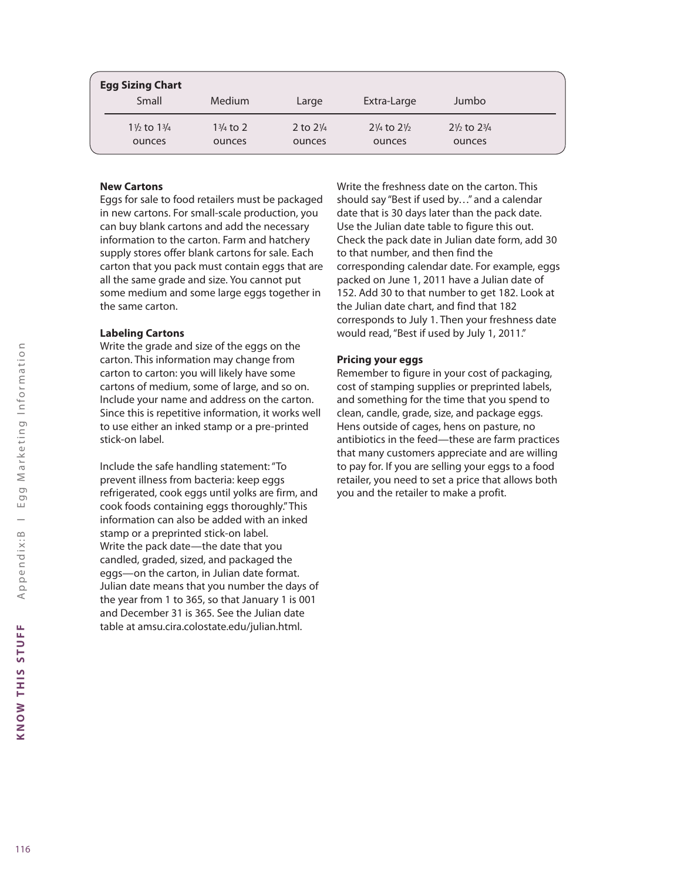| <b>Egg Sizing Chart</b>          |                     |                     |                                  |                                  |  |
|----------------------------------|---------------------|---------------------|----------------------------------|----------------------------------|--|
| Small                            | Medium              | Large               | Extra-Large                      | Jumbo                            |  |
| $1\frac{1}{2}$ to $1\frac{3}{4}$ | $1\frac{3}{4}$ to 2 | 2 to $2\frac{1}{4}$ | $2\frac{1}{4}$ to $2\frac{1}{2}$ | $2\frac{1}{2}$ to $2\frac{3}{4}$ |  |
| ounces                           | ounces              | ounces              | ounces                           | ounces                           |  |

#### **New Cartons**

Eggs for sale to food retailers must be packaged in new cartons. For small-scale production, you can buy blank cartons and add the necessary information to the carton. Farm and hatchery supply stores offer blank cartons for sale. Each carton that you pack must contain eggs that are all the same grade and size. You cannot put some medium and some large eggs together in the same carton.

#### **Labeling Cartons**

Write the grade and size of the eggs on the carton. This information may change from carton to carton: you will likely have some cartons of medium, some of large, and so on. Include your name and address on the carton. Since this is repetitive information, it works well to use either an inked stamp or a pre-printed stick-on label.

Include the safe handling statement: "To prevent illness from bacteria: keep eggs refrigerated, cook eggs until yolks are firm, and cook foods containing eggs thoroughly." This information can also be added with an inked stamp or a preprinted stick-on label. Write the pack date—the date that you candled, graded, sized, and packaged the eggs—on the carton, in Julian date format. Julian date means that you number the days of the year from 1 to 365, so that January 1 is 001 and December 31 is 365. See the Julian date table at amsu.cira.colostate.edu/julian.html.

Write the freshness date on the carton. This should say "Best if used by…" and a calendar date that is 30 days later than the pack date. Use the Julian date table to figure this out. Check the pack date in Julian date form, add 30 to that number, and then find the corresponding calendar date. For example, eggs packed on June 1, 2011 have a Julian date of 152. Add 30 to that number to get 182. Look at the Julian date chart, and find that 182 corresponds to July 1. Then your freshness date would read, "Best if used by July 1, 2011."

#### **Pricing your eggs**

Remember to figure in your cost of packaging, cost of stamping supplies or preprinted labels, and something for the time that you spend to clean, candle, grade, size, and package eggs. Hens outside of cages, hens on pasture, no antibiotics in the feed—these are farm practices that many customers appreciate and are willing to pay for. If you are selling your eggs to a food retailer, you need to set a price that allows both you and the retailer to make a profit.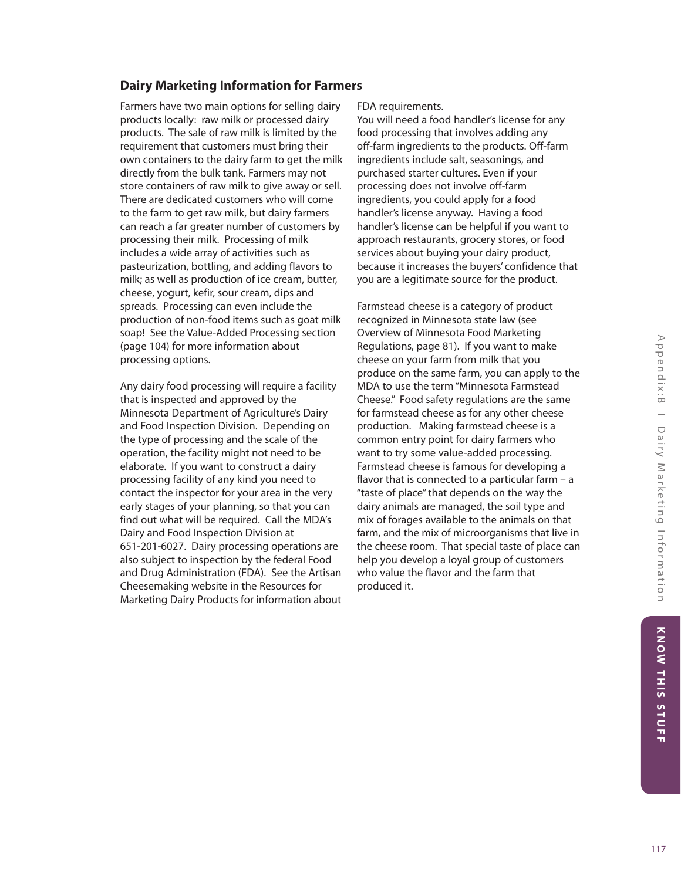# **Dairy Marketing Information for Farmers**

Farmers have two main options for selling dairy products locally: raw milk or processed dairy products. The sale of raw milk is limited by the requirement that customers must bring their own containers to the dairy farm to get the milk directly from the bulk tank. Farmers may not store containers of raw milk to give away or sell. There are dedicated customers who will come to the farm to get raw milk, but dairy farmers can reach a far greater number of customers by processing their milk. Processing of milk includes a wide array of activities such as pasteurization, bottling, and adding flavors to milk; as well as production of ice cream, butter, cheese, yogurt, kefir, sour cream, dips and spreads. Processing can even include the production of non-food items such as goat milk soap! See the Value-Added Processing section (page 104) for more information about processing options.

Any dairy food processing will require a facility that is inspected and approved by the Minnesota Department of Agriculture's Dairy and Food Inspection Division. Depending on the type of processing and the scale of the operation, the facility might not need to be elaborate. If you want to construct a dairy processing facility of any kind you need to contact the inspector for your area in the very early stages of your planning, so that you can find out what will be required. Call the MDA's Dairy and Food Inspection Division at 651-201-6027. Dairy processing operations are also subject to inspection by the federal Food and Drug Administration (FDA). See the Artisan Cheesemaking website in the Resources for Marketing Dairy Products for information about FDA requirements.

You will need a food handler's license for any food processing that involves adding any off-farm ingredients to the products. Off-farm ingredients include salt, seasonings, and purchased starter cultures. Even if your processing does not involve off-farm ingredients, you could apply for a food handler's license anyway. Having a food handler's license can be helpful if you want to approach restaurants, grocery stores, or food services about buying your dairy product, because it increases the buyers' confidence that you are a legitimate source for the product.

Farmstead cheese is a category of product recognized in Minnesota state law (see Overview of Minnesota Food Marketing Regulations, page 81). If you want to make cheese on your farm from milk that you produce on the same farm, you can apply to the MDA to use the term "Minnesota Farmstead Cheese." Food safety regulations are the same for farmstead cheese as for any other cheese production. Making farmstead cheese is a common entry point for dairy farmers who want to try some value-added processing. Farmstead cheese is famous for developing a flavor that is connected to a particular farm – a "taste of place" that depends on the way the dairy animals are managed, the soil type and mix of forages available to the animals on that farm, and the mix of microorganisms that live in the cheese room. That special taste of place can help you develop a loyal group of customers who value the flavor and the farm that produced it.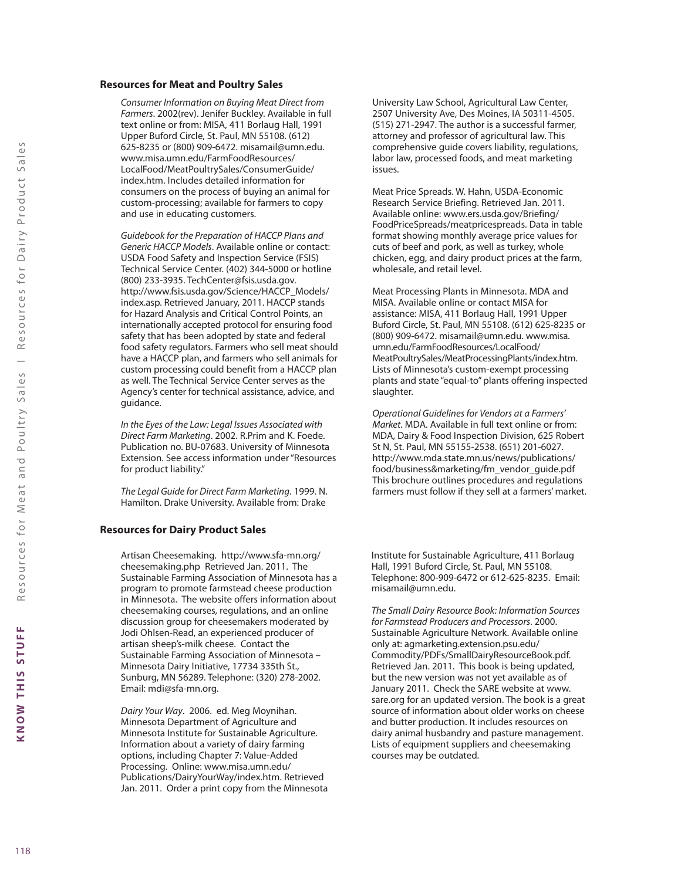#### **Resources for Meat and Poultry Sales**

*Consumer Information on Buying Meat Direct from Farmers*. 2002(rev). Jenifer Buckley. Available in full text online or from: MISA, 411 Borlaug Hall, 1991 Upper Buford Circle, St. Paul, MN 55108. (612) 625-8235 or (800) 909-6472. misamail@umn.edu. www.misa.umn.edu/FarmFoodResources/ LocalFood/MeatPoultrySales/ConsumerGuide/ index.htm. Includes detailed information for consumers on the process of buying an animal for custom-processing; available for farmers to copy and use in educating customers.

*Guidebook for the Preparation of HACCP Plans and Generic HACCP Models*. Available online or contact: USDA Food Safety and Inspection Service (FSIS) Technical Service Center. (402) 344-5000 or hotline (800) 233-3935. TechCenter@fsis.usda.gov. http://www.fsis.usda.gov/Science/HACCP\_Models/ index.asp. Retrieved January, 2011. HACCP stands for Hazard Analysis and Critical Control Points, an internationally accepted protocol for ensuring food safety that has been adopted by state and federal food safety regulators. Farmers who sell meat should have a HACCP plan, and farmers who sell animals for custom processing could benefit from a HACCP plan as well. The Technical Service Center serves as the Agency's center for technical assistance, advice, and guidance.

*In the Eyes of the Law: Legal Issues Associated with Direct Farm Marketing*. 2002. R.Prim and K. Foede. Publication no. BU-07683. University of Minnesota Extension. See access information under "Resources for product liability."

*The Legal Guide for Direct Farm Marketing*. 1999. N. Hamilton. Drake University. Available from: Drake

#### **Resources for Dairy Product Sales**

Artisan Cheesemaking. http://www.sfa-mn.org/ cheesemaking.php Retrieved Jan. 2011. The Sustainable Farming Association of Minnesota has a program to promote farmstead cheese production in Minnesota. The website offers information about cheesemaking courses, regulations, and an online discussion group for cheesemakers moderated by Jodi Ohlsen-Read, an experienced producer of artisan sheep's-milk cheese. Contact the Sustainable Farming Association of Minnesota – Minnesota Dairy Initiative, 17734 335th St., Sunburg, MN 56289. Telephone: (320) 278-2002. Email: mdi@sfa-mn.org.

*Dairy Your Way*. 2006. ed. Meg Moynihan. Minnesota Department of Agriculture and Minnesota Institute for Sustainable Agriculture. Information about a variety of dairy farming options, including Chapter 7: Value-Added Processing. Online: www.misa.umn.edu/ Publications/DairyYourWay/index.htm. Retrieved Jan. 2011. Order a print copy from the Minnesota University Law School, Agricultural Law Center, 2507 University Ave, Des Moines, IA 50311-4505. (515) 271-2947. The author is a successful farmer, attorney and professor of agricultural law. This comprehensive guide covers liability, regulations, labor law, processed foods, and meat marketing issues.

Meat Price Spreads. W. Hahn, USDA-Economic Research Service Briefing. Retrieved Jan. 2011. Available online: www.ers.usda.gov/Briefing/ FoodPriceSpreads/meatpricespreads. Data in table format showing monthly average price values for cuts of beef and pork, as well as turkey, whole chicken, egg, and dairy product prices at the farm, wholesale, and retail level.

Meat Processing Plants in Minnesota. MDA and MISA. Available online or contact MISA for assistance: MISA, 411 Borlaug Hall, 1991 Upper Buford Circle, St. Paul, MN 55108. (612) 625-8235 or (800) 909-6472. misamail@umn.edu. www.misa. umn.edu/FarmFoodResources/LocalFood/ MeatPoultrySales/MeatProcessingPlants/index.htm. Lists of Minnesota's custom-exempt processing plants and state "equal-to" plants offering inspected slaughter.

*Operational Guidelines for Vendors at a Farmers' Market*. MDA. Available in full text online or from: MDA, Dairy & Food Inspection Division, 625 Robert St N, St. Paul, MN 55155-2538. (651) 201-6027. http://www.mda.state.mn.us/news/publications/ food/business&marketing/fm\_vendor\_guide.pdf This brochure outlines procedures and regulations farmers must follow if they sell at a farmers' market.

Institute for Sustainable Agriculture, 411 Borlaug Hall, 1991 Buford Circle, St. Paul, MN 55108. Telephone: 800-909-6472 or 612-625-8235. Email: misamail@umn.edu.

*The Small Dairy Resource Book: Information Sources for Farmstead Producers and Processors*. 2000. Sustainable Agriculture Network. Available online only at: agmarketing.extension.psu.edu/ Commodity/PDFs/SmallDairyResourceBook.pdf. Retrieved Jan. 2011. This book is being updated, but the new version was not yet available as of January 2011. Check the SARE website at www. sare.org for an updated version. The book is a great source of information about older works on cheese and butter production. It includes resources on dairy animal husbandry and pasture management. Lists of equipment suppliers and cheesemaking courses may be outdated.